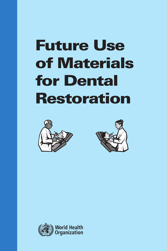# Future Use of Materials for Dental Restoration





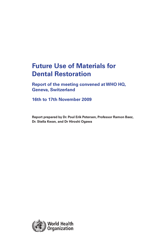# **Future Use of Materials for Dental Restoration**

**Report of the meeting convened at WHO HQ, Geneva, Switzerland**

**16th to 17th November 2009**

**Report prepared by Dr. Poul Erik Petersen, Professor Ramon Baez, Dr. Stella Kwan, and Dr Hiroshi Ogawa**

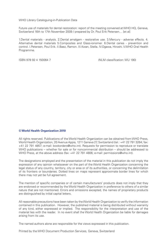WHO Library Cataloguing-in-Publication Data

Future use of materials for dental restoration: report of the meeting convened at WHO HQ, Geneva, Switzerland 16th to 17th November 2009 / prepared by Dr. Poul Erik Petersen… [et al]

1.Dental materials - analysis. 2.Dental amalgam - restorative use. 3.Mercury - adverse effects. 4. Alternative dental materials 5.Composites and Glass-ionomer. 6.Dental caries - prevention and control. I.Petersen, Poul Erik. II.Baez, Ramon. III.Kwan, Stella. IV.Ogawa, Hiroshi. V.WHO Oral Health Programme.

ISBN 978 92 4 150064 7 (NLM classification: WU 190)

#### **© World Health Organization 2010**

All rights reserved. Publications of the World Health Organization can be obtained from WHO Press, World Health Organization, 20 Avenue Appia, 1211 Geneva 27, Switzerland (tel.: +41 22 791 3264; fax: +41 22 791 4857; e-mail: bookorders@who.int). Requests for permission to reproduce or translate WHO publications – whether for sale or for noncommercial distribution – should be addressed to WHO Press, at the above address (fax: +41 22 791 4806; e-mail: permissions@who.int).

The designations employed and the presentation of the material in this publication do not imply the expression of any opinion whatsoever on the part of the World Health Organization concerning the legal status of any country, territory, city or area or of its authorities, or concerning the delimitation of its frontiers or boundaries. Dotted lines on maps represent approximate border lines for which there may not yet be full agreement.

The mention of specific companies or of certain manufacturers' products does not imply that they are endorsed or recommended by the World Health Organization in preference to others of a similar nature that are not mentioned. Errors and omissions excepted, the names of proprietary products are distinguished by initial capital letters.

All reasonable precautions have been taken by the World Health Organization to verify the information contained in this publication. However, the published material is being distributed without warranty of any kind, either expressed or implied. The responsibility for the interpretation and use of the material lies with the reader. In no event shall the World Health Organization be liable for damages arising from its use.

The named authors alone are responsible for the views expressed in this publication.

Printed by the WHO Document Production Services, Geneva, Switzerland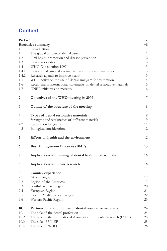# **Content**

| Preface |                                                                       | $\boldsymbol{\nabla}$       |
|---------|-----------------------------------------------------------------------|-----------------------------|
|         | <b>Executive summary</b>                                              | $\overline{\mathrm{v}}$ ii  |
| 1.      | Introduction                                                          | $\mathbf{1}$                |
| 1.1     | The global burden of dental caries                                    | $\mathbf{1}$                |
| 1.2     | Oral health promotion and disease prevention                          | $\sqrt{2}$                  |
| 1.3     | Dental restoration                                                    | $\mathfrak{Z}$              |
| 1.4     | WHO Consultation 1997                                                 | $\mathfrak{Z}$              |
| 1.4.1   | Dental amalgam and alternative direct restorative materials           | $\mathfrak{Z}$              |
| 1.4.2   | Research agenda to improve health                                     | $\ensuremath{\mathfrak{Z}}$ |
| 1.5     | WHO policy on the use of dental amalgam for restoration               | $\overline{4}$              |
| 1.6     | Recent major international statements on dental restorative materials | 5                           |
| 1.7     | UNEP initiatives on mercury                                           | 6                           |
| 2.      | Objectives of the WHO meeting in 2009                                 | 7                           |
| 3.      | Outline of the structure of the meeting                               | 8                           |
| 4.      | Types of dental restorative materials                                 | 8                           |
| 4.1     | Strengths and weaknesses of different materials                       | 9                           |
| 4.2     | Restoration longevity                                                 | 11                          |
| 4.3     | Biological considerations                                             | 12                          |
| 5.      | Effects on health and the environment                                 | 12                          |
| 6.      | <b>Best Management Practices (BMP)</b>                                | 13                          |
| 7.      | Implications for training of dental health professionals              | 16                          |
| 8.      | Implications for future research                                      | 16                          |
| 9.      | Country experience                                                    | 17                          |
| 9.1     | African Region                                                        | 17                          |
| 9.2     | Region of the Americas                                                | 17                          |
| 9.3     | South-East Asia Region                                                | 20                          |
| 9.4     | European Region                                                       | 21                          |
| 9.5     | Eastern Mediterranean Region                                          | 22                          |
| 9.6     | Western Pacific Region                                                | 23                          |
| 10.     | Partners in relation to use of dental restorative materials           | 24                          |
| 10.1    | The role of the dental profession                                     | 24                          |
| 10.2    | The role of the International Association for Dental Research (IADR)  | 25                          |
| 10.3    | The role of UNEP                                                      | 25                          |
| 10.4    | The role of WHO                                                       | 26                          |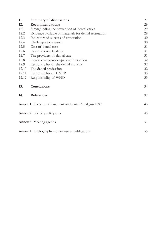| 11.   | Summary of discussions                                    | 27 |
|-------|-----------------------------------------------------------|----|
| 12.   | <b>Recommendations</b>                                    | 29 |
| 12.1  | Strengthening the prevention of dental caries             | 29 |
| 12.2  | Evidence available on materials for dental restoration    | 29 |
| 12.3  | Indicators of success of restoration                      | 30 |
| 12.4  | Challenges to research                                    | 30 |
| 12.5  | Cost of dental care                                       | 31 |
| 12.6  | Health service facilities                                 | 31 |
| 12.7  | The providers of dental care                              | 31 |
| 12.8  | Dental care provider-patient interaction                  | 32 |
| 12.9  | Responsibility of the dental industry                     | 32 |
| 12.10 | The dental profession                                     | 32 |
| 12.11 | Responsibility of UNEP                                    | 33 |
| 12.12 | Responsibility of WHO                                     | 33 |
| 13.   | Conclusions                                               | 34 |
| 14.   | References                                                | 37 |
|       | <b>Annex 1</b> Consensus Statement on Dental Amalgam 1997 | 43 |
|       | <b>Annex 2</b> List of participants                       | 45 |
|       | <b>Annex 3</b> Meeting agenda                             | 51 |
|       | <b>Annex 4</b> Bibliography - other useful publications   | 55 |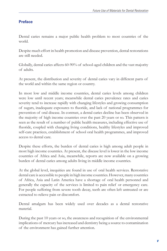#### **Preface**

Dental caries remains a major public health problem to most countries of the world.

Despite much effort in health promotion and disease prevention, dental restorations are still needed.

Globally, dental caries affects 60-90% of school-aged children and the vast majority of adults.

At present, the distribution and severity of dental caries vary in different parts of the world and within the same region or country.

In most low and middle income countries, dental caries levels among children were low until recent years; meanwhile dental caries prevalence rates and caries severity tend to increase rapidly with changing lifestyles and growing consumption of sugars, inadequate exposures to fluoride, and lack of national programmes for prevention of oral disease. In contrast, a dental caries decline has been observed in the majority of high income countries over the past 20 years or so. This pattern is seen as the result of a number of public health measures, including effective use of fluoride, coupled with changing living conditions, healthy lifestyles and improved self-care practices, establishment of school oral health programmes, and improved access to dental care.

Despite these efforts, the burden of dental caries is high among adult people in most high income countries. At present, the disease level is lower in the low income countries of Africa and Asia, meanwhile, reports are now available on a growing burden of dental caries among adults living in middle income countries.

At the global level, inequities are found in use of oral health services. Restorative dental care is accessible to people in high income countries. However, many countries of Africa, Asia and Latin America have a shortage of oral health personnel and generally the capacity of the services is limited to pain relief or emergency care. For people suffering from severe tooth decay, teeth are often left untreated or are extracted to relieve pain or discomfort.

Dental amalgam has been widely used over decades as a dental restorative material.

During the past 10 years or so, the awareness and recognition of the environmental implications of mercury has increased and dentistry being a source to contamination of the environment has gained further attention.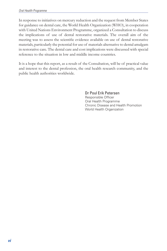In response to initiatives on mercury reduction and the request from Member States for guidance on dental care, the World Health Organization (WHO), in cooperation with United Nations Environment Programme, organized a Consultation to discuss the implications of use of dental restorative materials. The overall aim of the meeting was to assess the scientific evidence available on use of dental restorative materials, particularly the potential for use of materials alternative to dental amalgam in restorative care. The dental care and cost implications were discussed with special reference to the situation in low and middle income countries.

It is a hope that this report, as a result of the Consultation, will be of practical value and interest to the dental profession, the oral health research community, and the public health authorities worldwide.

> Dr Poul Erik Petersen Responsible Officer Oral Health Programme Chronic Disease and Health Promotion World Health Organization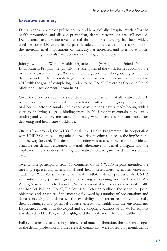#### **Executive summary**

Dental caries is a major public health problem globally. Despite much effort in health promotion and disease prevention, dental restorations are still needed. Dental amalgam, a restorative material that contains mercury, has been widely used for some 150 years. In the past decades, the awareness and recognition of the environmental implications of mercury has increased and alternative toothcoloured filling materials have become increasingly more popular.

Jointly with the World Health Organization (WHO), the United Nations Environment Programme (UNEP) has strengthened the work for reduction of the mercury releases and usage. Work of the intergovernmental negotiating committee that is mandated to elaborate legally binding instrument mercury commenced in 2010 with the goal of completing it prior to the UNEP Governing Council/Global Ministerial Environment Forum in 2013.

Given the diversity of countries worldwide and the availability of alternatives, UNEP recognizes that there is a need for consultation with different groups including the oral health sector. A number of expert consultations have already begun, with a view to finalizing a legally binding treaty in 2013 that may contain both legally binding and voluntary measures. The treaty would have a significant impact on delivering oral healthcare worldwide.

On this background, the WHO Global Oral Health Programme - in cooperation with UNEP Chemicals - organized a two-day meeting to discuss the implications and the way forward. The aim of the meeting was to assess the scientific evidence available on dental restorative materials alternative to dental amalgam and the implications to countries of using alternatives to amalgam for dental restorative care.

Twenty-nine participants from 15 countries of all 6 WHO regions attended the meeting, representing international oral health researchers, scientists, university academics, WHOCCs, ministries of health, NGOs, dental professionals, UNEP, and anti-mercury pressure groups. Following an opening address from Dr Ala Alwan, Assistant Director General, Non-communicable Diseases and Mental Health and Mr Per Bakken, UNEP, Dr Poul Erik Petersen outlined the scope, purpose, objectives and structure of the meeting, followed by a number of presentations and discussions. Day One discussed the availability of different restorative materials, their advantages and potential adverse effects on health and the environment. Experiences from both developed and developing countries of all WHO regions was shared in Day Two, which highlighted the implications for oral healthcare.

Following a review of existing evidence and much deliberation, the huge challenges to the dental profession and the research community were noted. In general, dental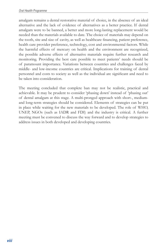amalgam remains a dental restorative material of choice, in the absence of an ideal alternative and the lack of evidence of alternatives as a better practice. If dental amalgam were to be banned, a better and more long-lasting replacement would be needed than the materials available to date. The choice of materials may depend on the tooth, site and size of cavity, as well as healthcare financing, patient preference, health care provider preference, technology, cost and environmental factors. While the harmful effects of mercury on health and the environment are recognized, the possible adverse effects of alternative materials require further research and monitoring. Providing the best care possible to meet patients' needs should be of paramount importance. Variations between countries and challenges faced by middle- and low-income countries are critical. Implications for training of dental personnel and costs to society as well as the individual are significant and need to be taken into consideration.

The meeting concluded that complete ban may not be realistic, practical and achievable. It may be prudent to consider 'phasing down' instead of 'phasing out' of dental amalgam at this stage. A multi-pronged approach with short-, mediumand long-term strategies should be considered. Elements of strategies can be put in place while waiting for the new materials to be developed. The role of WHO, UNEP, NGOs (such as IADR and FDI) and the industry is critical. A further meeting must be convened to discuss the way forward and to develop strategies to address issues in both developed and developing countries.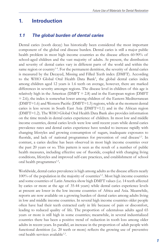# **1. Introduction**

#### *1.1 The global burden of dental caries*

Dental caries (tooth decay) has historically been considered the most important component of the global oral disease burden. Dental caries is still a major public health problem in most high income countries as the disease affects 60-90% of school-aged children and the vast majority of adults. At present, the distribution and severity of dental caries vary in different parts of the world and within the same region or country<sup>14</sup>. For the permanent dentition, the severity of dental caries is measured by the Decayed, Missing and Filled Teeth index (DMFT). According to the WHO Global Oral Health Data Bank<sup>5</sup>, the global dental caries index among children aged 12 years is 1.6 teeth on average, however, there are marked differences in severity amongst regions. The disease level in children of this age is relatively high in the Americas ( $DMFT = 2.8$ ) and in the European region ( $DMFT$ = 2.6); the index is somewhat lower among children of the Eastern Mediterranean (DMFT=1.6) and Western Pacific (DMFT=1.5) regions, while at the moment dental caries is less severe in South East Asia (DMFT=1.1) and in the African region (DMFT=1.2). The WHO Global Oral Health Data Bank also provides information on the time trends in dental caries experience of children. In most low and middle income countries, dental caries levels were low until recent years while dental caries prevalence rates and dental caries experience have tended to increase rapidly with changing lifestyles and growing consumption of sugars, inadequate exposures to fluoride, and lack of national programmes for prevention of oral disease<sup>1,3</sup>. In contrast, a caries decline has been observed in most high income countries over the past 20 years or so. This pattern is seen as the result of a number of public health measures, including effective use of fluoride, coupled with changing living conditions, lifestyles and improved self-care practices, and establishment of school oral health programmes<sup>1,3</sup>.

Worldwide, dental caries prevalence is high among adults as the disease affects nearly  $100\%$  of the population in the majority of countries<sup>1,3</sup>. Most high income countries and some countries of Latin America show high DMFT values (i.e. 14 teeth affected by caries or more at the age of 35-44 years) while dental caries experience levels at present are lower in the low income countries of Africa and Asia. Meanwhile, reports are now available on a growing burden of dental caries among adults living in low and middle income countries. In several high income countries older people often have had their teeth extracted early in life because of pain or discomfort, leading to reduced quality of life. The proportion of edentulous adults aged 65 years or more is still high in some countries; meanwhile, in several industrialized countries there has been a positive trend of reduction in tooth loss among older adults in recent years. In parallel, an increase in the proportion of adult people with functional dentition (i.e. 20 teeth or more) reflects the growing use of preventive oral health services available<sup>1,3</sup>.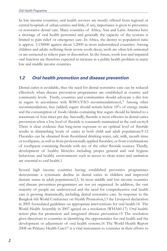In low income countries, oral health services are mostly offered from regional or central hospitals of urban centres and little, if any, importance is given to preventive or restorative dental care. Many countries of Africa, Asia and Latin America have a shortage of oral health personnel and generally the capacity of the systems is limited to pain relief or emergency care. In Africa, the dentist to population ratio is approx. 1:150000 against about 1:2000 in most industrialized countries. Among children and adults suffering from severe tooth decay, teeth are often left untreated or are extracted to relieve pain or discomfort. In the future, tooth loss and impaired oral function are therefore expected to increase as a public health problem in many low and middle income countries.

### *1.2 Oral health promotion and disease prevention*

Dental caries is avoidable, thus the need for dental restorative care can be reduced effectively when disease prevention programmes are established at country and community levels. Firstly, countries and communities should advocate a diet low in sugars in accordance with WHO/FAO recommendations.6,7 Among other recommendations, free (added) sugars should remain below 10% of energy intake and the consumption of foods/drinks containing free sugars should be limited to a maximum of four times per day. Secondly, fluoride is most effective in dental caries prevention when a low level of fluoride is constantly maintained in the oral cavity.8 There is clear evidence that long-term exposure to an optimal level of fluoride results in diminishing levels of caries in both child and adult populations.9-12 Fluorides can be obtained from fluoridated drinking-water, salt, milk, mouth rinse or toothpaste, as well asfrom professionally applied fluorides; or from combinations of toothpaste containing fluoride with any of the other fluoride sources. Thirdly, development of healthy lifestyles including proper general and oral hygiene behaviour, and healthy environments such as access to clean water and sanitation are essential to oral health.1

Several high income countries having established preventive programmes demonstrate a systematic decline in dental caries in children and improved dentate status in adult populations3,5. In most middle and low income countries oral disease prevention programmes are not yet organized. In addition, the vast majority of people are underserved and the need for comprehensive oral health care is growing dramatically, including dental restorative care. In response to the Bangkok 6th World Conference on Health Promotion,13 the Liverpool declaration in 2005 formulated guidelines on appropriate interventions for oral health.14 The World Health Assembly in 2007 agreed on a resolution (WHA60.17): Oral health: action plan for promotion and integrated disease prevention.15 The resolution gives directions to countries in identifying the opportunities for oral health and the development or adjustment of oral health systems.16 The World Health Report 2008 on Primary Health Care17 is a vital instrument to countries in their efforts to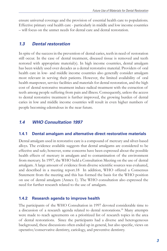ensure universal coverage and the provision of essential health care to populations. Effective primary oral health care - particularly in middle and low income countries – will focus on the unmet needs for dental care and dental restoration.

#### *1.3 Dental restoration*

In spite of the success in the prevention of dental caries, teeth in need of restoration still occur. In the case of dental treatment, diseased tissue is removed and teeth restored with appropriate material(s). In high income countries, dental amalgam has been widely used over decades as a dental restorative material. Providers of oral health care in low- and middle income countries also generally consider amalgam most relevant in serving their patients. However, the limited availability of oral health manpower, service facilities and materials for dental restoration, and the high cost of dental restorative treatment induce radical treatment with the extraction of teeth among people suffering from pain and illness. Consequently, unless the access to dental restorative treatment is further improved, the growing burden of dental caries in low and middle income countries will result in even higher numbers of people becoming edentulous in the near future.

# *1.4 WHO Consultation 1997*

#### **1.4.1 Dental amalgam and alternative direct restorative materials**

Dental amalgam used in restorative care is a compound of mercury and silver-based alloys. The evidence available suggests that dental amalgams are considered to be effective and safe; however, some concerns have been expressed about the possible health effects of mercury in amalgam and to contamination of the environment from mercury. In 1997, the WHO held a Consultation Meeting on the use of dental amalgam. A large amount of evidence from diverse scientific sources was evaluated, and described in a meeting report.18 In addition, WHO offered a Consensus Statement from the meeting and this has formed the basis for the WHO position on use of dental amalgam (Annex 1). The WHO consultation also expressed the need for further research related to the use of amalgam.

#### **1.4.2 Research agenda to improve health**

The participants of the WHO Consultation in 1997 devoted considerable time to a discussion of a research agenda related to dental restorations.18 Many attempts were made to reach agreements on a prioritized list of research topics in the area of dental restorations. Since the participants had a diverse and heterogeneous background, these discussions often ended up in general, but also specific, views on operative/conservative dentistry, cariology, and preventive dentistry.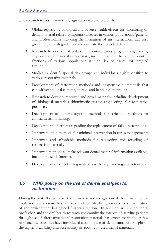The research topics unanimously agreed on were to establish:

- Global registry of biological and adverse health effects for monitoring of dental material related symptoms/diseases in various populations (patients and professionals) including the formation of an international advisory group to establish guidelines and evaluate the collected data.
- Research to develop affordable preventive caries programmes, making any restorative material unnecessary, including studies helping to identify fractions of various populations at high risk of caries, for targeted actions.
- Studies to identify special risk groups and individuals highly sensitive to various restorative materials.
- Development of restoration methods and inexpensive biomaterials that can withstand local climatic, storage and handling limitations.
- Research to develop improved and novel materials, including development of biological materials (biomimetics/tissue engineering) for restorative purposes.
- Development of better diagnostic methods for caries and methods for clinical decision making.
- Development of criteria regarding the replacement of failed restorations.
- Improvement in methods for minimal intervention in caries management:
- Improved and affordable methods for recovering and recycling of restorative materials.
- Improved methods to make relevant dental material information available, including use of Internet.
- Development of direct filling materials with easy handling characteristics.

# *1.5 WHO policy on the use of dental amalgam for restoration*

During the past 10 years or so, the awareness and recognition of the environmental implications of mercury has increased and dentistry being a source to contamination of the environment has gained further attention. In addition, within the dental profession and the oral health research community the interest of serving patients through use of alternative dental restoration materials has grown markedly. A few high-income countries have introduced a ban on use of dental amalgam in light of the higher availability and accessibility of tooth-coloured dental materials.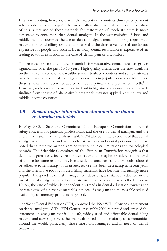It is worth noting, however, that in the majority of countries third-party payment schemes do not yet recognize the use of alternative materials and one implication of this is that use of these materials for restoration of tooth structure is more expensive to consumers than dental amalgam. In the vast majority of low- and middle-income countries, the use of dental amalgam remains the only appropriate material for dental fillings or build-up material as the alternative materials are far too expensive for people and society. Even today dental restoration is expensive often leading to tooth extraction in the case of dental pain or discomfort.

The research on tooth-coloured materials for restorative dental care has grown significantly over the past 10-15 years. High quality alternatives are now available on the market in some of the wealthiest industrialized countries and some materials have been tested in clinical investigations as well as in population studies. Moreover, these studies have been conducted on both primary and permanent teeth.<sup>19-22</sup> However, such research is mainly carried out in high-income countries and research findings from the use of alternative biomaterials may not apply directly to low-and middle income countries.

### *1.6 Recent major international statements on dental restorative materials*

In May 2008, a Scientific Committee of the European Commission addressed safety concerns for patients, professionals and the use of dental amalgam and the alternative restorative materials available.23,24 The committee concluded that dental amalgams are effective and safe, both for patients and dental personnel and also noted that alternative materials are not without clinical limitations and toxicological hazards. The Scientific Committee of the European Commission recognises that dental amalgam is an effective restorative material and may be considered the material of choice for some restorations. Because dental amalgam is neither tooth-coloured or adhesive to remaining tooth tissues, its use has been decreasing in recent years and the alternative tooth-coloured filling materials have become increasingly more popular. Independent of risk management decisions, a sustained reduction in the use of dental amalgam in oral health care provision is expected across the European Union, the rate of which is dependent on trends in dental education towards the increasing use of alternative materials in place of amalgam and the possible reduced availability of mercury products in general.

The World Dental Federation (FDI) approved the 1997 WHO Consensus statement on dental amalgam.18 The FDI General Assembly 2009 reiterated and stressed the statement on amalgam that it is a safe, widely used and affordable dental filling material and currently serves the oral health needs of the majority of communities around the world, particularly those most disadvantaged and in need of dental treatment.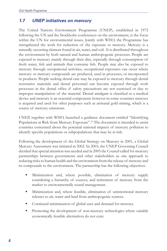# *1.7 UNEP initiatives on mercury*

The United Nations Environment Programme (UNEP), established in 1972 following the UN and the Stockholm conferences on the environment, is the focus within the UN for environmental issues. Jointly with WHO, the Programme has strengthened the work for reduction of the exposure to mercury. Mercury is a naturally occurring element found in air, water, and soil. It is distributed throughout the environment by both natural and human anthropogenic processes. People are exposed to mercury mainly through their diet, especially through consumption of fresh water, fish and animals that consume fish. People may also be exposed to mercury through occupational activities, occupational exposures can occur where mercury or mercury compounds are produced, used in processes, or incorporated in products. People seeking dental care may be exposed to mercury through dental restorative materials and dental personnel can become exposed through work processes in the dental office if safety precautions are not exercised or due to improper manipulation of the material. Dental amalgam is classified as a medical device and mercury is an essential component; however in some countries mercury is acquired and used for other purposes such as artisanal gold mining, which is a source of mercury emissions.

UNEP, together with WHO, launched a guidance document entitled "Identifying Populations at Risk from Mercury Exposure".<sup>25</sup> The document is intended to assist countries concerned about the potential national impacts of mercury pollution to identify specific populations or subpopulations that may be at risk.

Following the development of the Global Strategy on Mercury in 2001, a Global Mercury Assessment was initiated in 2002. In 2003, the UNEP Governing Council decided that special attention was needed and in 2005 the Council called for mercury partnerships between governments and other stakeholders as one approach to reducing risks to human health and the environment from the release of mercury and its compounds to the environment. The partnership has the following objectives:

- Minimization and, where possible, elimination of mercury supply considering a hierarchy of sources, and retirement of mercury from the market to environmentally sound management.
- Minimization and, where feasible, elimination of unintentional mercury releases to air, water and land from anthropogenic sources.
- Continued minimization of global uses and demand for mercury.
- Promoting the development of non-mercury technologies where suitable economically feasible alternatives do not exist.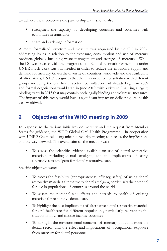To achieve these objectives the partnership areas should also:

- strengthen the capacity of developing countries and countries with economies in transition
- **share and exchange information**

A more formalized structure and measure was requested by the GC in 2007, addressing issues in relation to the exposure, consumption and use of mercury products globally including waste management and storage of mercury. While the GC was pleased with the progress of the Global Network Partnerships under UNEP, much work was still needed in order to reduce the emissions, supply and demand for mercury. Given the diversity of countries worldwide and the availability of alternatives, UNEP recognizes that there is a need for consultation with different groups including the oral health sector. Consultation had already begun in 2009 and formal negotiations would start in June 2010, with a view to finalizing a legally binding treaty in 2013 that may contain both legally binding and voluntary measures. The impact of this treaty would have a significant impact on delivering oral health care worldwide.

# **2 Objectives of the WHO meeting in 2009**

In response to the various initiatives on mercury and the request from Member States for guidance, the WHO Global Oral Health Programme – in cooperation with UNEP Chemicals - organized a two-day meeting to discuss the implications and the way forward. The overall aim of the meeting was:

 To assess the scientific evidence available on use of dental restorative materials, including dental amalgam, and the implications of using alternatives to amalgam for dental restorative care.

Specific objectives were:

- To assess the feasibility (appropriateness, efficacy, safety) of using dental restorative materials alternative to dental amalgam, particularly the potential for use in populations of countries around the world.
- To assess the potential side-effects and hazards to health of existing materials for restorative dental care.
- To highlight the cost implications of alternative dental restorative materials for oral healthcare for different populations, particularly relevant to the situation in low-and middle income countries.
- To highlight the environmental concerns of mercury pollution from the dental sector, and the effect and implications of occupational exposure from mercury for dental personnel.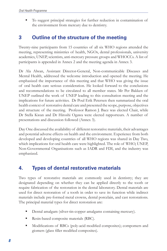To suggest principal strategies for further reduction in contamination of the environment from mercury due to dentistry.

# **3 Outline of the structure of the meeting**

Twenty-nine participants from 15 countries of all six WHO regions attended the meeting, representing ministries of health, NGOs, dental professionals, university academics, UNEP, scientists, anti-mercury pressure groups and WHOCCs. A list of participants is appended in Annex 2 and the meeting agenda in Annex 3.

Dr Ala Alwan, Assistant Director-General, Non-communicable Diseases and Mental Health, addressed the welcome introduction and opened the meeting. He emphasized the importance of this meeting and that WHO was giving the issue of oral health care serious consideration. He looked forward to the conclusions and recommendations to be circulated to all member states. Mr Per Bakken of UNEP outlined the work of UNEP leading to this consultation meeting and the implications for future activities. Dr Poul Erik Petersen then summarized the oral health context of restorative dental care and presented the scope, purpose, objectives and structure of the meeting. Professor Ramon J. Baez was elected Chair, while Dr Stella Kwan and Dr Hiroshi Ogawa were elected rapporteurs. A number of presentations and discussion followed (Annex 3).

Day One discussed the availability of different restorative materials, their advantages and potential adverse effects on health and the environment. Experience from both developed and developing countries of all WHO regions was shared in Day Two, which implications for oral health care were highlighted. The role of WHO, UNEP, Non-Governmental Organisations such as IADR and FDI, and the industry was emphasized.

# **4. Types of dental restorative materials**

Two types of restorative materials are commonly used in dentistry; they are designated depending on whether they can be applied directly to the tooth or require fabrication of the restoration in the dental laboratory. Dental materials are used for direct restoration of a tooth in order to save its function while indirect materials include pre-formed metal crowns, dental porcelain, and cast restorations. The principal material types for direct restoration are:

- Dental amalgam (silver-tin-copper amalgams containing mercury).
- Resin-based composite materials (RBC).
- Modifications of RBCs (poly-acid modified composites); compomers and giomers (glass filler modified composites).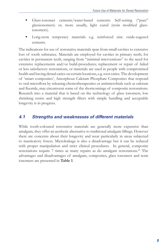- Glass-ionomer cements/water-based cements: Self-setting ("pure" glassionomers) or, more usually, light cured (resin modified glassionomers).
- Long-term temporary materials e.g. reinforced zinc oxide-eugenol cements.

The indications for use of restorative materials span from small cavities to extensive loss of tooth substance. Materials are employed for cavities in primary teeth; for cavities in permanent teeth, ranging from "minimal interventions" to the need for extensive replacements and/or build-procedures; replacement or repair of failed or less satisfactory restorations, or materials are used in people with compromised health and having dental caries on certain locations, e.g. root caries. The development of 'smart composites', Amorphous Calcium Phosphate Composites that respond to oral microflora by releasing chemotherapeutics or antimicrobials such as calcium and fluoride, may circumvent some of the shortcomings of composite restorations. Research into a material that is based on the technology of glass ionomers, low shrinking resins and high strength filters with simple handling and acceptable longevity is in progress.

#### *4.1 Strengths and weaknesses of different materials*

While tooth-coloured restorative materials are generally more expensive than amalgam, they offer an aesthetic alternative to traditional amalgam fillings. However there are concerns about their longevity and wear particularly in areas subjected to masticatory forces. Microleakage is also a disadvantage but it can be reduced with proper manipulation and strict clinical procedures. In general, composite restorations require 7 times as many repairs as do amalgam restorations. 26 The advantages and disadvantages of amalgam, composites, glass ionomers and resin ionomers are presented in **Table 1**.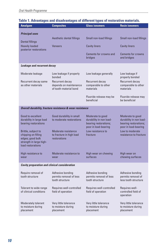| <b>Amalgam</b>                                                                                                 | <b>Composites</b>                                                   | <b>Glass ionomers</b>                                                                        | <b>Resin ionomers</b>                                                                        |
|----------------------------------------------------------------------------------------------------------------|---------------------------------------------------------------------|----------------------------------------------------------------------------------------------|----------------------------------------------------------------------------------------------|
| <b>Principal uses</b>                                                                                          |                                                                     |                                                                                              |                                                                                              |
|                                                                                                                | Aesthetic dental fillings                                           | Small non-load fillings                                                                      | Small non-load fillings                                                                      |
| <b>Dental fillings</b><br><b>Heavily loaded</b><br>posterior restorations                                      | <b>Veneers</b>                                                      | <b>Cavity liners</b>                                                                         | <b>Cavity liners</b>                                                                         |
|                                                                                                                |                                                                     | Cements for crowns and<br>bridges                                                            | <b>Cements for crowns</b><br>and bridges                                                     |
| <b>Leakage and recurrent decay</b>                                                                             |                                                                     |                                                                                              |                                                                                              |
| Moderate leakage                                                                                               | Low leakage if properly<br>bonded                                   | Low leakage generally                                                                        | Low leakage if<br>properly bonded                                                            |
| Recurrent decay same<br>as other materials                                                                     | Recurrent decay<br>depends on maintenance<br>of tooth-material bond | Recurrent decay<br>comparable to other<br>materials                                          | Recurrent decay<br>comparable to other<br>materials                                          |
|                                                                                                                |                                                                     | Fluoride release may be<br>beneficial                                                        | Fluoride release may<br>be beneficial                                                        |
|                                                                                                                | Overall durability, fracture resistance & wear resistance           |                                                                                              |                                                                                              |
| Good to excellent<br>durability in large load<br>bearing restorations                                          | Good durability in small<br>to moderate restorations                | Moderate to good<br>durability in non load-<br>bearing restorations;<br>poor in load-bearing | Moderate to good<br>durability in non load-<br>bearing restorations;<br>poor in load-bearing |
| Brittle, subject to<br>chipping on filling<br>edges; good bulk<br>strength in large high-<br>load restorations | Moderate resistance<br>to fracture in high load<br>restorations     | Low resistance to<br>fracture                                                                | Low to moderate<br>resistance to fracture                                                    |
| High resistance to<br>wear                                                                                     | Moderate resistance to<br>wear                                      | High wear on chewing<br>surfaces                                                             | High wear on<br>chewing surfaces                                                             |
| <b>Cavity preparation and clinical consideration</b>                                                           |                                                                     |                                                                                              |                                                                                              |
| Require removal of<br>tooth structure                                                                          | Adhesive bonding<br>permits removal of less<br>tooth structure      | Adhesive bonding<br>permits removal of less<br>tooth structure                               | Adhesive bonding<br>permits removal of<br>less tooth structure                               |
| Tolerant to wide range<br>of clinical conditions                                                               | Requires well-controlled<br>field of operation                      | Requires well-controlled<br>field of operation                                               | Requires well-<br>controlled field of<br>operation                                           |
| <b>Moderately tolerant</b><br>to moisture during<br>placement                                                  | Very little tolerance<br>to moisture during<br>placement            | Very little tolerance<br>to moisture during<br>placement                                     | Very little tolerance<br>to moisture during<br>placement                                     |

#### **Table 1. Advantages and disadvantages of different types of restorative materials.**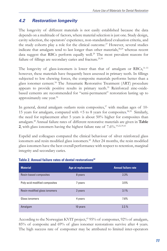# *4.2 Restoration longevity*

The longevity of different materials is not easily established because the data depends on a multitude of factors, where material selection is just one. Study design, cavity selection, the operators' experience, non-standardized evaluation criteria, and the study cohorts play a role for the clinical outcome.<sup>27</sup> However, several studies indicate that amalgam tend to last longer than other materials, $28,29$  whereas recent data suggest that RBCs perform equally well.<sup>29</sup> The most prevalent reasons for failure of fillings are secondary caries and fracture.<sup>29,30</sup>

The longevity of glass-ionomers is lower than that of amalgam or RBCs, 31-33 however, these materials have frequently been assessed in primary teeth. In fillings subjected to low chewing forces, the composite materials performs better than a glass ionomer cement.34 The Atraumatic Restorative Treatment (ART) procedure appears to provide positive results in primary teeth.<sup>35</sup> Reinforced zinc-oxidebased cements are recommended for "semi-permanent" restoration lasting up to approximately one year.<sup>36</sup>

In general, dental amalgam outlasts resin composites, $37$  with median ages of 10-15 years for amalgam, compared with <5 to 8 years for composites. 38,39 Similarly, the need for replacement after 5 years is about 50% higher for composites than amalgam.40 Annual failure rates of different restorative materials are given in **Table 2**, with glass ionomers having the highest failure rate of 7.6%.19,22,39,41

Espelid and colleagues compared the clinical behaviour of silver reinforced glass ionomers and resin modified glass ionomers.<sup>42</sup> After 24 months, the resin modified glass ionomers have the best overall performance with respect to retention, marginal integrity and secondary caries.

| <b>Material</b>               | <b>Age at replacement</b> | <b>Annual failure rate</b> |
|-------------------------------|---------------------------|----------------------------|
| Resin-based composites        | 8 years                   | 2.3%                       |
| Poly-acid modified composites | 7 years                   | 3.5%                       |
| Resin-modified glass ionomers | 2 years                   | 3.1%                       |
| Glass ionomers                | 4 years                   | 7.6%                       |
| Amalgam                       | 10 years                  | 2.2.%                      |

#### **Table 2. Annual failure rates of dental restorations42**

According to the Norwegian KVIT project,<sup>43</sup> 95% of compomer, 92% of amalgam, 85% of composite and 69% of glass ionomer restorations survive after 4 years. The high success rate of compomer may be attributed to limited inter-operators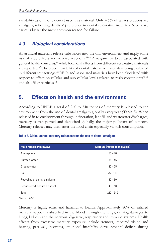variability as only one dentist used this material. Only 4.6% of all restorations are amalgam, reflecting dentists' preference in dental restorative materials. Secondary caries is by far the most common reason for failure.

# *4.3 Biological considerations*

All artificial materials release substances into the oral environment and imply some risk of side effects and adverse reactions.44,45 Amalgam has been associated with general health concerns,46 while local oral effects from different restorative materials are reported.<sup>47</sup> The biocompatibility of dental restorative materials is being evaluated in different test settings.48 RBCs and associated materials have been elucidated with respect to effect on cellular and sub-cellular levels related to resin constituents<sup>49-51</sup> and also filler particles.<sup>52</sup>

# **5. Effects on health and the environment**

According to UNEP, a total of 260 to 340 tonnes of mercury is released to the environment from the use of dental amalgam globally every year (**Table 3**). When released in to environment through incineration, landfill and wastewater discharges, mercury is transported and deposited globally, the major pollutant of concern. Mercury releases may then enter the food chain especially via fish consumption.

| <b>Main releases/pathways</b> | <b>Mercury (metric tonnes/year)</b> |
|-------------------------------|-------------------------------------|
| Atmosphere                    | $50 - 70$                           |
| Surface water                 | $35 - 45$                           |
| Groundwater                   | $20 - 25$                           |
| Soil                          | $75 - 100$                          |
| Recycling of dental amalgam   | $40 - 50$                           |
| Sequestered, secure disposal  | $40 - 50$                           |
| Total                         | $260 - 340$                         |

#### **Table 3. Global annual mercury releases from the use of dental amalgam.**

*Source: UNEP*

Mercury is highly toxic and harmful to health. Approximately 80% of inhaled mercury vapour is absorbed in the blood through the lungs, causing damages to lungs, kidneys and the nervous, digestive, respiratory and immune systems. Health effects from excessive mercury exposure include tremors, impaired vision and hearing, paralysis, insomnia, emotional instability, developmental deficits during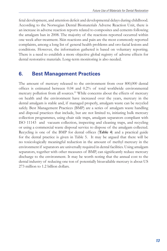fetal development, and attention deficit and developmental delays during childhood. According to the Norwegian Dental Biomaterials Adverse Reaction Unit, there is an increase in adverse reaction reports related to composites and cements following the amalgam ban in 2008. The majority of the reactions reported occurred within one week after treatment. Skin reactions and pain are the most commonly reported complaints, among a long list of general health problems and oro-facial lesions and conditions. However, the information gathered is based on voluntary reporting. There is a need to establish a more objective global registry of adverse effects for dental restorative materials. Long-term monitoring is also needed.

# **6. Best Management Practices**

The amount of mercury released to the environment from over 800,000 dental offices is estimated between 0.04 and 0.2% of total worldwide environmental mercury pollution from all sources.<sup>53</sup> While concerns about the effects of mercury on health and the environment have increased over the years, mercury in the dental amalgam is stable and, if managed properly, amalgam waste can be recycled safely. Best Management Practices (BMP) are a series of amalgam waste handling and disposal practices that include, but are not limited to, initiating bulk mercury collection programmes, using chair side traps, amalgam separators compliant with ISO 11143 and vacuum collection, inspecting and cleaning traps, and recycling or using a commercial waste disposal service to dispose of the amalgam collected. Recycling is one of the BMP for dental offices (**Table 4**) and a practical guide for the dental practice is given in Table 5. It may be argued that there will be no toxicologically meaningful reduction in the amount of methyl mercury in the environment if separators are universally required in dental facilities. Using amalgam separators, together with other measures of BMP, can significantly reduce mercury discharge to the environment. It may be worth noting that the annual cost to the dental industry of reducing one ton of potentially bioavailable mercury is about US 273 million to 1.2 billion dollars.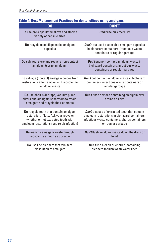| D <sub>0</sub>                                                                                                                                                      | <b>DON'T</b>                                                                                                                                                                  |
|---------------------------------------------------------------------------------------------------------------------------------------------------------------------|-------------------------------------------------------------------------------------------------------------------------------------------------------------------------------|
| Do use pre-capsulated alloys and stock a<br>variety of capsule sizes                                                                                                | <b>Don't</b> use bulk mercury                                                                                                                                                 |
| Do recycle used disposable amalgam<br>capsules                                                                                                                      | <b>Don't</b> put used disposable amalgam capsules<br>in biohazard containers, infectious waste<br>containers or regular garbage                                               |
| Do salvage, store and recycle non-contact<br>amalgam (scrap amalgam)                                                                                                | Don't put non-contact amalgam waste in<br>biohazard containers, infectious waste<br>containers or regular garbage                                                             |
| Do salvage (contact) amalgam pieces from<br>restorations after removal and recycle the<br>amalgam waste                                                             | Don't put contact amalgam waste in biohazard<br>containers, infectious waste containers or<br>regular garbage                                                                 |
| Do use chair-side traps, vacuum pump<br>filters and amalgam separators to retain<br>amalgam and recycle their contents                                              | <b>Don't</b> rinse devices containing amalgam over<br>drains or sinks                                                                                                         |
| Do recycle teeth that contain amalgam<br>restoration. (Note: Ask your recycler<br>whether or not extracted teeth with<br>amalgam restorations require disinfection) | <b>Don't</b> dispose of extracted teeth that contain<br>amalgam restorations in biohazard containers,<br>infectious waste containers, sharps containers<br>or regular garbage |
| Do manage amalgam waste through<br>recycling as much as possible                                                                                                    | <b>Don't</b> flush amalgam waste down the drain or<br>toilet                                                                                                                  |
| Do use line cleaners that minimize<br>dissolution of amalgam                                                                                                        | <b>Don't</b> use bleach or chorine-containing<br>cleaners to flush wastewater lines                                                                                           |

#### **Table 4. Best Management Practices for dental offices using amalgam.**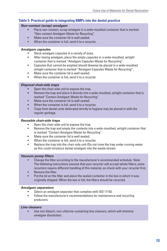#### **Table 5. Practical guide to integrating BMPs into the dental practice**

#### *Non-contact (scrap) amalgam*

- Place non-contact, scrap amalgam in a wide-mouthed container that is marked "Non-contact Amalgam Waste for Recycling".
- Make sure the container lid is well sealed.
- When the container is full, send it to a recycler.

#### *Amalgam capsules*

- Stock amalgam capsules in a variety of sizes.
- After mixing amalgam, place the empty capsules in a wide-mouthed, airtight container that is marked "Amalgam Capsules Waste for Recycling".
- Capsules that cannot be emptied should likewise be placed in a wide-mouthed airtight container that is marked "Amalgam Capsules Waste for Recycling".
- Make sure the container lid is well sealed.
- When the container is full, send it to a recycler.

#### *Disposal chair-side traps*

- Open the chair-side unit to expose the trap.
- Remove the trap and place it directly into a wide-mouthed, airtight container that is marked "Contact Amalgam Waste for Recycling".
- Make sure the container lid is well sealed.
- When the container is full, send it to a recycler.
- Traps from dental units dedicated strictly to hygiene may be placed in with the regular garbage.

#### *Reusable chair-side traps*

- Open the chair-side unit to expose the trap.
- **EXECTE 1** Remove the trap and empty the contents into a wide-mouthed, airtight container that is marked "Contact Amalgam Waste for Recycling".
- Make sure the container lid is well sealed.
- When the container is full, send it to a recycler.
- **EXECT** Replace the trap into the chair-side unit (Do not rinse the trap under running water as this could introduce dental amalgam into the waste stream.

#### *Vacuum pump filters*

- Change the filter according to the manufacturer's recommended schedule. Note: The following instructions assume that your recycler will accept whole filters; some recyclers require different handling of this material, so check with your recycler first.
- Remove the filter.
- Put the lid on the filter and place the sealed container in the box in which it was originally shipped. When the box is full, the filters should be recycled.

#### *Amalgam separators*

- Select an amalgam separator that complies with ISO 11143.
- Follow the manufacturer's recommendations for maintenance and recycling producers.

#### *Line cleaners*

 Use non-bleach, non-chlorine-containing line cleaners, which will minimize amalgam dissolution.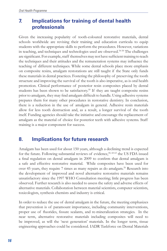# **7. Implications for training of dental health professionals**

Given the increasing popularity of tooth-coloured restorative materials, dental schools worldwide are revising their training and education curricula to equip students with the appropriate skills to perform the procedures. However, variations in teaching, and techniques and technologies used are observed.<sup>54-58</sup> The challenges are significant. For example, staff themselves may not have sufficient training to teach the techniques and their attitudes and the remuneration systems may influence the teaching of different techniques. While some dental schools place more emphasis on composite resins, amalgam restorations are still taught if the State only funds these materials in dental practices. Fostering the philosophy of preserving the tooth structure and improving the survival of the tooth is also imperative, as is oral health promotion. Clinical performance of posterior resin composites placed by dental students has been shown to be satisfactory.<sup>59</sup> If they are taught composite resins prior to amalgam, they may find amalgam difficult to handle. Using adhesive systems prepares them for many other procedures in restorative dentistry. In conclusion, there is a reduction in the use of amalgam in general. Adhesive resin materials allow for less tooth destruction and, as a result, a longer survival of the tooth itself. Funding agencies should take the initiative and encourage the replacement of amalgam as the material of choice for posterior teeth with adhesive systems. Staff training is a major component for success.

# **8. Implications for future research**

Amalgam has been used for about 150 years, although a declining trend is expected for the future. Following substantial reviews of evidence, 40, 60-63 the US FDA issued a final regulation on dental amalgam in 2009 to confirm that dental amalgam is a safe and effective restorative material. While composites have been used for over 45 years, they require 7 times as many repairs as do amalgam.<sup>26</sup> Research into the development of improved and novel alternative restorative materials remains unsatisfactory since the 1997 WHO Consultation meeting; little progress has been observed. Further research is also needed to assess the safety and adverse effects of alternative materials. Collaboration between material scientists, computer scientists, toxicologists, synthesis chemists and industry is critical.

In order to reduce the use of dental amalgam in the future, the meeting emphasizes that prevention is of paramount importance, including community interventions, proper use of fluorides, fissure sealants, and re-mineralization strategies. In the near term, alternative restorative materials including composites will need to be improved, as will the 'next generation' materials. In the longer term, tissue engineering approaches could be considered. IADR Taskforce on Dental Materials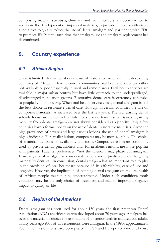comprising material scientists, clinicians and manufacturers has been formed to accelerate the development of improved materials, to provide clinicians with viable alternatives to greatly reduce the use of dental amalgam and, partnering with FDI, to promote BMPs until such time that amalgam use and amalgam replacement has discontinued.

# **9. Country experience**

### *9.1 African Region*

There is limited information about the use of restorative materials in the developing countries of Africa. In low resource communities oral health services are either not available or poor, especially in rural and remote areas. Oral health services are available in major urban centres but have little outreach to the underprivileged, disadvantaged population groups. Restorative dental care is extremely expensive to people living in poverty. When oral health service exists, dental amalgam is still the best choice in restorative dental care, although in certain countries the sale of composite materials has increased over the last few years. The few existing dental schools focus on the control of infectious disease transmission; issues regarding mercury from dental amalgam are not always considered as a priority. Only a few countries have a formal policy on the use of dental restorative materials. Given the high prevalence of severe and large carious lesions, the use of dental amalgam is highly indicated. For smaller lesions, composites may be more suitable. The choice of materials depends on availability and costs. Composites are more commonly used by private dental practitioners and, for aesthetic reasons, are more popular with patients. Patients' preferences, "not the science", may phase out amalgam. However, dental amalgam is considered to be a more predictable and forgiving material by dentists. In conclusion, dental amalgam has an important role to play in the provision of oral healthcare because of its affordability, ease of use and longevity. However, the implication of banning dental amalgam on the oral health of African people must not be underestimated. Under such conditions tooth extraction may be the only choice of treatment and lead to important negative impact to quality of life.

#### *9.2 Region of the Americas*

Dental amalgam has been used for about 150 years; the first American Dental Association (ADA) specification was developed about 70 years ago. Amalgam has been the material of choice for restoration of posterior teeth in children and adults. Thirty years ago 80% of all restorations were amalgam. In the 1990s approximately 200 million restorations have been placed in USA and Europe combined. The use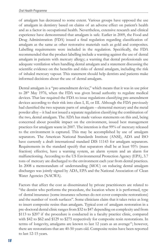of amalgam has decreased to some extent. Various groups have opposed the use of amalgam in dentistry based on claims of an adverse effect on patient's health and as a factor in occupational health. Nevertheless, extensive research and clinical experience have demonstrated that amalgam is safe. Earlier in 2009, the Food and Drug Administration (FDA) issued a final regulation regarding classification of amalgam as the same as other restorative materials such as gold and composites. Labelling requirements were included in the regulation. Specifically, the FDA recommended that the product labelling include a warning against the use of dental amalgam in patients with mercury allergy; a warning that dental professionals use adequate ventilation when handling dental amalgam and a statement discussing the scientific evidence on the benefits and risks of dental amalgam, including the risk of inhaled mercury vapour. This statement should help dentists and patients make informed decisions about the use of dental amalgam.

Dental amalgam is a "pre-amendment device," which means that it was in use prior to 28<sup>th</sup> May 1976, when the FDA was given broad authority to regulate medical devices. That law required the FDA to issue regulations classifying pre-amendment devices according to their risk into class I, II, or III. Although the FDA previously had classified the two separate parts of amalgam – elemental mercury and the metal powder alloy – it had not issued a separate regulation classifying the combination of the two, dental amalgam. The ADA has made various statements on this and, being concerned about possible impact on the environment, issued best management practices for amalgam waste in 2007. The intention is that 99% of mercury released to the environment is captured. This may be accomplished by use of amalgam separators. The American National Standards Institute (ANSI), ADA and ISO have currently a draft international standard DIS 11143 for amalgam separators. Requirements in the standard specify that separators shall be at least 95% (mass fraction) effective, have a warning system, an alarm system and an alarm for malfunctioning. According to the US Environmental Protection Agency (EPA), 3.7 tons of mercury are discharged to the environment each year from dental practices. In 2008 a memorandum of understanding (MOU) on reducing dental amalgam discharges was jointly signed by ADA, EPA and the National Association of Clean Water Agencies (NACWA).

Factors that affect the cost as disseminated by private practitioners are related to "the dentist who performs the procedure, the location where it is performed, type of dental insurance (some insurance schemes do not cover composite restorations) and the number of tooth surfaces". Some clinicians claim that it takes twice as long to insert composite resins than amalgam. Typical cost of amalgam restoration in a pre-doctoral dental clinic ranges from \$32 to \$47 depending on complexity and from \$113 to \$207 if the procedure is conducted in a faculty practice clinic, compared with \$42 to \$62 and \$129 to \$275 respectively for composite resin restorations. In terms of longevity, amalgams are known to last 12 years as an average<sup>19</sup>; however, there are restorations that are 40-50 years old. Composite resins have been reported to last 12-15 years.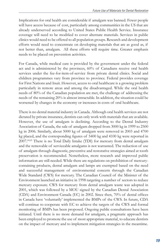Implications for oral health are considerable if amalgam was banned. Fewer people will have access because of cost, particularly among communities in the US that are already underserved according to United States Public Health Service. Insurance coverage will need to be modified to cover alternate materials. Services in public clinics would need to be offered to all population groups. Research and development efforts would need to concentrate on developing materials that are as good as, if not better than, amalgam. All these efforts will require time. Greater emphasis needs to be placed on prevention activities.

For Canada, while medical care is provided by the government under the federal act and is administered by the provinces, 60% of Canadians receive oral health services under the fee-for-item-of-service from private dental clinics. Social and children programmes vary from province to province. Federal provides coverage for First Nations and Inuit. However, access to oral healthcare is a growing problem particularly in remote areas and among the disadvantaged. While the oral health needs of 80% of the Canadian population are met, the challenge of addressing the needs of the remaining 20% is almost intractable. In addition, the situation could be worsened by changes in the economy or increases in costs of oral healthcare.

There is no dental material industry in Canada. Although oral health services are not dictated by private insurance, dentists can only work with materials that are available. However, the use of amalgam is declining. According to the Dental Industry Association of Canada, the sale of amalgam dropped from 3000 kg in 1999 to 2500 kg in 2006. Similarly, about 5000 kg of amalgam were removed in 2003 and 4700 kg placed, and the corresponding figures of 5400 kg and 4100 kg were reported in 2007.64,65 There is no Total Daily Intake (TDI) for mercury from dental amalgam and the removable of serviceable amalgams is not warranted. The reduction of use of amalgam through diagnostic, preventive and restorative strategies aimed at tooth preservation is recommended. Nonetheless, more research and improved public information are still needed. While there are regulations on prohibition of mercurycontaining products, dental amalgam and lamps are exempted based on the need and successful management of environmental concern through the Canadian Wide Standard (CWS) for mercury. The Canadian Council of the Minister of the Environment launched an initiative in 1998 targeting a number of sectors to reduce mercury exposure. CWS for mercury from dental amalgam waste was adopted in 2001, which was followed by a MOU signed by the Canadian Dental Association (CDA) and Environment Canada (EC) in 2002. Since then, 70% of dental offices in Canada have 'voluntarily' implemented the BMPs of the CWS. In future, CDA will continue to cooperate with EC to achieve the targets of the CWS and formal monitoring of BMPs has been proposed. Ongoing public consultations have been initiated. Until there is no more demand for amalgam, a pragmatic approach has been employed to promote the use of most appropriate material, to educate dentists on the impact of mercury and to implement mitigation strategies in the meantime.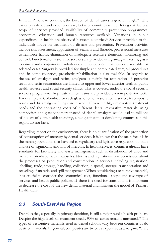In Latin American countries, the burden of dental caries is generally high.<sup>66</sup> The caries prevalence and experience vary between countries with differing risk factors, scope of services provided, availability of community prevention programmes, economics, education and human resources available. Variations in public expenditure on health are observed between countries.<sup>67</sup> Services provided to the individuals focus on treatment of disease and prevention. Prevention activities include risk assessment, application of sealants and fluoride, professional measures to reinforce habits, elimination of inadequate retentive elements, monitoring and control. Functional or restorative services are provided using amalgam, resins, glassionomers and compomers. Endodontic and periodontal treatments are available for selected cases. Surgery is provided for simple and complicated surgical procedures and, in some countries, prosthetic rehabilitation is also available. In regards to the use of amalgam and resins, amalgam is mainly for restoration of posterior teeth and resin restorations are limited to upper and lower anterior teeth in public health services and social security clinics. This is covered under the social security services programme. In private clinics, resins are provided even in posterior teeth. For example in Colombia, for each glass ionomer restoration inserted, 6 composite resins and 14 amalgam fillings are placed. Given the high restorative treatment needs and the contrasting costs of different dental restorative materials, using composites and glass ionomers instead of dental amalgam would lead to millions of dollars of extra health spending, a budget that most developing countries in this region do not have.

Regarding impact on the environment, there is no quantification of the proportion of consumption of mercury by dental services. It is known that the main focus is in the mining operations that have led to regulatory and legislative regulation of trade and use of significant amounts of mercury. In health services, countries already have standards for bio-safety and waste management such as distribution of alloy and mercury (pre-dispensed) in capsules. Norms and regulations have been issued about the processes of production and consumption in services including registration, labelling, trade, storage, handling, collection, disposal, storage, transportation and recycling of material and spill management. When considering a restorative material, it is crucial to consider the economical cost, functional, scope and coverage of services and health public policies. If there is a need for transition, it is important to decrease the cost of the new dental material and maintain the model of Primary Health Care.

# *9.3 South-East Asia Region*

Dental caries, especially in primary dentition, is still a major public health problem. Despite the high levels of treatment needs, 90% of caries remains untreated.<sup>68</sup> The types of restorative materials used in dental schools vary between countries as do costs of materials. In general, composites are twice as expensive as amalgam. While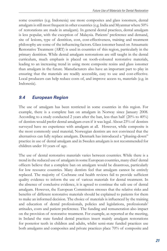some countries (e.g. Indonesia) use more composites and glass ionomers, dental amalgam is still most frequent in other countries (e.g. India and Myanmar where 50% of restorations are made in amalgam). In general dental practices, dental amalgam is less popular, with the exception of Malaysia. Patients' preference and demand, site of lesions, type of dentition, cost, cost-effectiveness, training and treatment philosophy are some of the influencing factors. Glass ionomer based on Atraumatic Restorative Treatment (ART) is used in countries of this region, particularly in the primary dentition. While dental amalgam restorations are still taught in the dental curriculum, much emphasis is placed on tooth-coloured restorative materials, leading to an increasing trend in using more composite resins and glass ionomer than amalgam in the future. Manufacturers also have an important part to play in ensuring that the materials are readily accessible, easy to use and cost-effective. Local producers can help reduce costs of, and improve access to, materials (e.g. in Indonesia).

# *9.4 European Region*

The use of amalgam has been restricted in some countries in this region. For example, there is a complete ban on amalgam in Norway since January 2008. According to a study conducted 2 years after the ban, less than half (20% to 40%) of dentists would prefer dental amalgam even if it was legal. About 23% of dentists surveyed have no experience with amalgam at all. However, while composite is the most commonly used material; Norwegian dentists are not convinced that the alternatives can fully replace amalgam. Denmark has introduced a "phasing-down" practice in use of dental amalgam and in Sweden amalgam is not recommended for children under 10 years of age.

The use of dental restorative materials varies between countries. While there is a trend in the reduced use of amalgam in some European countries, many chief dental officers believe that a complete ban on amalgam would be disastrous, particularly for low resource countries. Many dentists feel that amalgam cannot be entirely replaced. The majority of Cochrane oral health reviews fail to provide sufficient quality evidence to inform the use of various materials for dental treatment. In the absence of conclusive evidence, it is agreed to continue the safe use of dental amalgam. However, the European Commission stresses that the relative risks and benefits of different restorative materials should be explained to patients for them to make an informed decision. The choice of materials is influenced by the training and education of dental professionals, policies and legislations, professionals' attitudes, costs and patient preference. The funding and remuneration also impact on the provision of restorative treatment. For example, as reported at the meeting, in Ireland the state funded dental practices insert mainly amalgam restorations for posterior teeth in children and adults, whilst semi-state funded practices use both amalgams and composites and private practices place 70% of composite and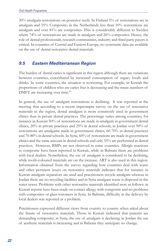30% amalgam restorations on posterior teeth. In Finland 5% of restorations are in amalgam and 55% Composite; in the Netherlands less than 10% restorations are amalgam and over 81% are composites. This is considerably different to Sweden where 74% of restorations are made in amalgam and 26% composites. Hence, the role of dental professionals, research communities, industry and third party payers is critical. In countries of Central and Eastern Europe, no systematic data are available on the use of dental restorative dental materials.

# *9.5 Eastern Mediterranean Region*

The burden of dental caries is significant in this region although there are variations between countries, exacerbated by increased consumption of sugary foods and drinks. In some countries, the situation is worsening. For example, in Kuwait the proportions of children who are caries free is decreasing and the mean numbers of DMFT are increasing over time.<sup>69</sup>

In general, the use of amalgam restorations is declining. It was reported at the meeting that according to a recent impromptu survey on the use of restorative materials in the region, dental amalgam is more commonly used in government clinics than in private dental practices. The percentage varies among countries, for instance in Kuwait 50% of restorations are made in amalgam in government dental clinics, 20% in private practices and 25% in dental schools; in Jordan over 90% of restorations are amalgams made in government clinics, 60-70% in dental practices and 70-80% in dental schools. In Syria, 60% of restorations are made in government clinics and the same amount in dental schools and only 35% are performed in dental practices. However, BMPs are not observed in some countries. Allergic reactions to composite have been reported in Kuwait, while in Bahrain there are problems with local dealers. Nonetheless, the use of amalgam is considered to be declining, while tooth-coloured materials are on the increase. ART is also used in this region. Information obtained from the survey regarding how countries deal with waste and other pertinent issues on restorative materials indicates that for instance in Kuwait amalgam separators are used and practitioners recycle amalgam whereas in Jordan there are no recycling facilities and in Syria amalgam waste is disposed in the water sewer. Problems with other restorative materials identified were as follows: in Kuwait reports have been made on contact allergy with composite and no problems with composites or glass ionomers in Syria. In Bahrain, difficulty in the delivery by local dealers was reported as a problem.

Practitioners expressed different views from country to country when asked about the future of restorative materials. Those in Kuwait indicated that patients are demanding composite; in Syria, the use of amalgam is declining; in Jordan the use of aesthetic materials is increasing and in Bahrain they anticipate no change.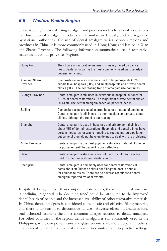# *9.6 Western Pacific Region*

There is a long history of using amalgam and precious metals for dental restorations in China. Dental amalgam products are manufactured locally and are regulated by national authorities. The use of dental amalgam varies between regions and provinces in China; it is more commonly used in Hong Kong and less so in Xian and Shanxi Province. The following information summarizes use of restorative materials in various provinces/regions.

| Hong Kong                   | The choice of restorative materials is mainly based on clinical<br>need. Dental amalgam is the most commonly used, particularly in<br>government clinics.                                                                                                                          |
|-----------------------------|------------------------------------------------------------------------------------------------------------------------------------------------------------------------------------------------------------------------------------------------------------------------------------|
| Xian and Shanxi<br>Province | Composite resins are commonly used in large hospitals (70%),<br>middle level hospitals (60%) and small hospitals and private dental<br>clinics (50%). The decreasing trend of amalgam use continues.                                                                               |
| <b>Guangxi Province</b>     | Dental amalgam is still used in every public hospital, but only for<br>8-10% of dental restorations. The majority of private dental clinics<br>(80%) still use dental amalgam based on patients' needs.                                                                            |
| Beijing                     | Composite resins are used in large hospitals instead of amalgam.<br>Dental amalgam is still in use in other hospitals and private dental<br>clinics, although the trend is decreasing.                                                                                             |
|                             |                                                                                                                                                                                                                                                                                    |
| Shanghai                    | Dental amalgam is used in hospitals and private dental clinics in<br>about 45% of dental restorations. Hospitals and dental clinics have<br>certain measures for waste handling to reduce mercury pollution,<br>but some of them do not have guidelines to deal with the problems. |
| Anhui Province              | Dental amalgam is the most popular restorative material of choice<br>for posterior teeth because it is cost-effective.                                                                                                                                                             |
| Dalian                      | Dental amalgam restorations are not used in children. Few are<br>used in other hospitals and dental clinics.                                                                                                                                                                       |

In spite of being cheaper than composite restorations, the use of dental amalgam is declining in general. The declining trend could be attributed to the improved dental health of people and the increased availability of other restorative materials. In China, dental amalgam is considered to be a safe and effective filling material, and there is no reason to discontinue its use. Adverse effect on health is rare, oral lichenoid lesion is the most common allergic reaction to dental amalgam. For other countries in the region, dental amalgam is still commonly used in the Philippines, while composite resins and glass ionomers are more popular in others. The percentage of dental material use varies in countries and in practice settings.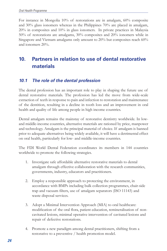For instance in Mongolia 10% of restorations are in amalgam, 60% composite and 30% glass ionomers whereas in the Philippines 70% are placed in amalgam, 20% in composites and 10% in glass ionomers. In private practices in Malaysia 50% of restorations are amalgams, 30% composites and 20% ionomers while in Singapore and Vietnam amalgams only amount to 20% but composites reach 60% and ionomers 20%.

# **10. Partners in relation to use of dental restorative materials**

# *10.1 The role of the dental profession*

The dental profession has an important role to play in shaping the future use of dental restorative materials. The profession has led the move from wide-scale extraction of teeth in response to pain and infection to restoration and maintenance of the dentition, resulting in a decline in tooth loss and an improvement in oral health and quality of life among people in high income countries.

Dental amalgam remains the mainstay of restorative dentistry worldwide. In lowand middle-income countries, alternative materials are rationed by price, manpower and technology. Amalgam is the principal material of choice. If amalgam is banned prior to adequate alternatives being widely available, it will have a detrimental effect on oral health, particularly for low- and middle-income countries.

The FDI World Dental Federation coordinates its members in 144 countries worldwide to promote the following strategies.

- 1. Investigate safe affordable alternative restorative materials to dental amalgam through effective collaboration with the research communities, governments, industry, educators and practitioners.
- 2. Employ a responsible approach to protecting the environment, in accordance with BMPs including bulk collection programmes, chair-side trap and vacuum filters, use of amalgam separators (ISO 11143) and waste disposal services.
- 3. Adopt a Minimal Intervention Approach (MIA) to oral healthcare: modification of the oral flora, patient education, remineralisation of noncavitated lesions, minimal operative intervention of cavitated lesions and repair of defective restorations.
- 4. Promote a new paradigm among dental practitioners, shifting from a restorative to a preventive / health promotion model.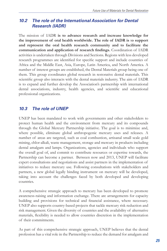# *10.2 The role of the International Association for Dental Research (IADR)*

The mission of IADR **is to advance research and increase knowledge for the improvement of oral health worldwide. The role of IADR is** t**o support and represent the oral health research community and to facilitate the communication and application of research findings.** Coordination of IADR activities is undertaken through Divisions and Sections. Regions with less developed research programmes are identified for specific support and include countries of Africa and the Middle East, Asia, Europe, Latin America, and North America. A number of interest groups are established, the Dental Materials group being one of them. This group coordinates global research in restorative dental materials. This scientific group also interacts with the dental materials industry. The aim of IADR is to expand and further develop the Association's partnership with international dental associations, industry, health agencies, and scientific and educational professional organizations.

# *10.3 The role of UNEP*

UNEP has been mandated to work with governments and other stakeholders to protect human health and the environment from mercury and its compounds through the Global Mercury Partnership initiative. The goal is to minimize and, where possible, eliminate global anthropogenic mercury uses and releases. A number of areas are targeted, such as coal combustion, artisanal small scale gold mining, chlor-alkali, waste management, storage and mercury in products including dental amalgam and lamps. Organizations, agencies and individuals who support the overall goal of, and commit to contribute resources or expertise towards, the Partnership can become a partner. Between now and 2013, UNEP will facilitate expert consultations and negotiations and assist partners in the implementation of initiatives to reduce mercury use. Following consultations with stakeholders and partners, a new global legally binding instrument on mercury will be developed, taking into account the challenges faced by both developed and developing countries.

A comprehensive strategic approach to mercury has been developed to promote awareness-raising and information exchange. There are arrangements for capacity building and provisions for technical and financial assistance, where necessary. UNEP also supports country-based projects that tackle mercury risk reduction and risk management. Given the diversity of countries and the availability of alternative materials, flexibility is needed to allow countries discretion in the implementation of their commitments.

As part of this comprehensive strategic approach, UNEP believes that the dental profession has a vital role in the Partnership to reduce the demand for amalgam and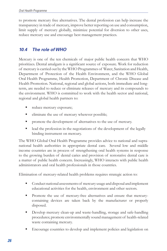to promote mercury free alternatives. The dental profession can help increase the transparency in trade of mercury, improve better reporting on use and consumption, limit supply of mercury globally, minimize potential for diversion to other uses, reduce mercury use and encourage best management practices.

# *10.4 The role of WHO*

Mercury is one of the ten chemicals of major public health concern that WHO prioritizes. Dental amalgam is a significant source of exposure. Work for reduction of mercury is carried out by the WHO Programmes of Water, Sanitation and Health, Department of Protection of the Health Environment, and the WHO Global Oral Health Programme, Health Promotion, Department of Chronic Disease and Health Promotion. National, regional and global actions, both immediate and longterm, are needed to reduce or eliminate releases of mercury and its compounds to the environment. WHO is committed to work with the health sector and national, regional and global health partners to:

- reduce mercury exposure;
- eliminate the use of mercury wherever possible;
- **PED 1** promote the development of alternatives to the use of mercury.
- lead the profession in the negotiations of the development of the legally binding instrument on mercury.

The WHO Global Oral Health Programme provides advice to national and supranational health authorities in appropriate dental care. Several low and middle income countries are in process of strengthening oral health systems in response to the growing burden of dental caries and provision of restorative dental care is a matter of public health concern. Increasingly, WHO interacts with public health administrators and oral health professionals in those countries.

Elimination of mercury-related health problems requires strategic action to:

- Conduct national assessments of mercury usage and disposal and implement educational activities for the health, environment and other sectors.
- **Promote the use of mercury-free alternatives and ensure that mercury**containing devices are taken back by the manufacturer or properly disposed.
- **Develop mercury clean-up and waste-handling, storage and safe-handling** procedures; promote environmentally sound management of health-related waste containing mercury.
- Encourage countries to develop and implement policies and legislation on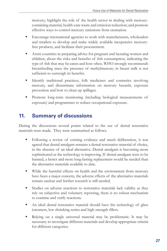mercury; highlight the role of the health sector in dealing with mercurycontaining material, health-care waste and emission reduction; and promote effective ways to control mercury emissions from cremation.

- Encourage international agencies to work with manufacturers, wholesalers and retailers to develop and make widely available inexpensive mercuryfree products, and facilitate their procurement.
- Assist countries in preparing advice for pregnant and lactating women and children, about the risks and benefits of fish consumption, indicating the type of fish that may be eaten and how often. WHO strongly recommends breastfeeding since the presence of methylmercury in breast milk is not sufficient to outweigh its benefits.
- Identify traditional practices, folk medicines and cosmetics involving mercury, and disseminate information on mercury hazards, exposure prevention and how to clean up spillages.
- **Promote long-term monitoring (including biological measurements of** exposure) and programmes to reduce occupational exposure.

# **11. Summary of discussions**

During the discussions several points related to the use of dental restorative materials were made. They were summarised as follows.

- Following a review of existing evidence and much deliberation, it was agreed that dental amalgam remains a dental restorative material of choice, in the absence of an ideal alternative. Dental amalgam is becoming more sophisticated as the technology is improving. If dental amalgam were to be banned, a better and more long-lasting replacement would be needed than the alternative materials available to date.
- While the harmful effects on health and the environment from mercury have been a major concern, the adverse effects of the alternative materials remain unclear and further research is still needed.
- Studies on adverse reactions to restorative materials lack validity as they rely on subjective and voluntary reporting, there is no robust mechanism to examine and verify reactions.
- An ideal dental restorative material should have the technology of glass ionomers, low shrinking resins and high strength fillers.
- Relying on a single universal material may be problematic. It may be necessary to investigate different materials and develop appropriate criteria for different categories.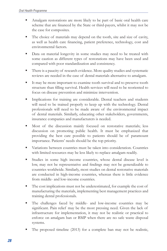- Amalgam restorations are more likely to be part of basic oral health care scheme that are financed by the State or third-payers, whilst it may not be the case for composites.
- The choice of materials may depend on the tooth, site and size of cavity, as well as health care financing, patient preference, technology, cost and environmental factors.
- Data on material longevity in some studies may need to be treated with some caution as different types of restorations may have been used and compared with poor standardization and consistency.
- There is a paucity of research evidence. More quality studies and systematic reviews are needed in the case of dental materials alternative to amalgam.
- It may be more important to examine tooth survival and to preserve tooth structure than filling survival. Health services will need to be reoriented to focus on disease prevention and minimize intervention.
- **Implications for training are considerable. Dental teachers and students** will need to be trained properly to keep up with the technology. Dental professionals will need to be made aware of the environmental impact of dental materials. Similarly, educating other stakeholders, governments, insurance companies and manufacturers is needed.
- Most of the discussion mainly focused on restorative materials; less discussion on promoting public health. It must be emphasized that providing the best care possible to patients should be of paramount importance. Patients' needs should be the top priority.
- Variations between countries must be taken into consideration. Countries with limited resources may be less likely to replace amalgam readily.
- Studies in some high income countries, whose dental disease level is low, may not be representative and findings may not be generalizable to countries worldwide. Similarly, most studies on dental restorative materials are conducted in high-income countries, whereas there is little evidence from middle- and low-income countries.
- The cost implications must not be underestimated, for example the cost of manufacturing the materials, implementing best management practices and training dental professionals.
- The challenges faced by middle- and low-income countries may be significant. Pain relief may be the most pressing need. Given the lack of infrastructure for implementation, it may not be realistic or practical to enforce on amalgam ban or BMP when there are no safe waste disposal systems.
- The proposed timeline (2013) for a complete ban may not be realistic,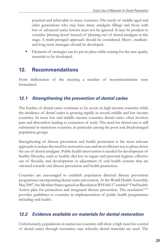practical and achievable in many countries. The needs of middle-aged and older generations who may have many amalgam fillings and those with lots of advanced caries lesions must not be ignored. It may be prudent to consider 'phasing down' instead of 'phasing out' of dental amalgam at this stage. A multi-pronged approach should be considered. Short-, mediumand long-term strategies should be developed.

 Elements of strategies can be put in place while waiting for the new quality materials to be developed.

# **12. Recommendations**

From deliberation of the meeting a number of recommendations were formulated.

# *12.1 Strengthening the prevention of dental caries*

The burden of dental caries continues to be severe in high income countries while the incidence of dental caries is growing rapidly in several middle and low income countries. In most low and middle income countries dental caries often involves pain and discomfort leading to extraction of teeth. The need for dental care is still substantial in numerous countries, in particular among the poor and disadvantaged population groups.

Strengthening of disease prevention and health promotion is the most relevant approach to reduce the need for restorative care and most efficient way to phase down the use of dental amalgam. Public health intervention is needed for development of healthy lifestyles, such as healthy diet low in sugars and personal hygiene; effective use of fluoride, and development or adjustment of oral health systems that are oriented towards oral disease prevention and health promotion.

Countries are encouraged to establish population directed disease prevention programmes incorporating dental caries prevention. At the World Health Assembly, May 2007, the Member States agreed on Resolution WHA60.17 entitled "Oral health: Action plan for promotion and integrated disease prevention. The resolution<sup>15-16</sup> provides guidelines to countries in implementation of public health programmes including oral health.

# *12.2 Evidence available on materials for dental restoration*

Unfortunately, populations in numerous countries still show a high need for control of dental caries through restorative care whereby dental materials are used. The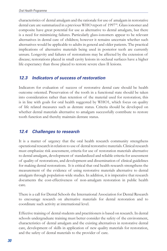characteristics of dental amalgam and the rationale for use of amalgam in restorative dental care are summarized in a previous WHO report of 1997<sup>18</sup>. Glass ionomer and composite have great potential for use as alternative to dental amalgam, but there is a need for minimizing failures. Particularly glass-ionomers appear to be relevant alternatives in dental care of children; however it remains uncertain whether such alternatives would be applicable to adults in general and older patients. The practical implications of alternative materials being used in posterior teeth are currently unsure. Longevity and failures of restorations may be affected by the extension of disease; restorations placed in small cavity lesions in occlusal surfaces have a higher life expectancy than those placed to restore severe class II lesions.

# *12.3 Indicators of success of restoration*

Indicators for evaluation of success of restorative dental care should be health outcome oriented. Preservation of the tooth in a functional state should be taken into consideration rather than retention of the material used for restoration; this is in line with goals for oral health suggested by WHO1, which focus on quality of life related measures such as dentate status. Criteria should be developed on whether dental materials alternative to amalgam successfully contribute to restore tooth function and thereby maintain dentate status.

# *12.4 Challenges to research*

It is a matter of urgency that the oral health research community strengthens operational research in relation to use of dental restorative materials. Clinical research must emphasize risk assessment, criteria for use of restoration materials alternative to dental amalgam, development of standardized and reliable criteria for assessment of quality of restorations, and development and dissemination of clinical guidelines for making dental restorations. It is critical that oral health research strengthens the measurement of the evidence of using restorative materials alternative to dental amalgam through population-wide studies. In addition, it is imperative that research documents the cost-effectiveness of non-amalgam restoration in public health care.

There is a call for Dental Schools the International Association for Dental Research to encourage research on alternative materials for dental restoration and to coordinate such activity at international level.

Effective training of dental students and practitioners is based on research. In dental schools undergraduate training must better consider the safety of the environment, characteristics of dental amalgam and the existing alternatives in restorative dental care, development of skills in application of new quality materials for restoration, and the safety of dental materials to the provider of care.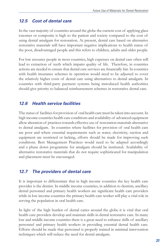### *12.5 Cost of dental care*

In the vast majority of countries around the globe the current cost of applying glass ionomer or composite is high to the patient and society compared to the cost of using dental amalgam for restoration. At present, dental care based on alternative restorative materials will have important negative implications to health status of the poor, disadvantaged people and this refers to children, adults and older people.

For low resource people in most countries, high expenses on dental care often will lead to extraction of teeth which impairs quality of life. Therefore, in countries actions are needed to ensure that dental care services are financially fair. In countries with health insurance schemes in operation would need to be adjusted to cover the relatively higher costs of dental care using alternatives to dental amalgam. In countries with third-party payment systems being introduced health authorities should give priority to balanced reimbursement schemes in restorative dental care.

# *12.6 Health service facilities*

The status of facilities for provision of oral health care must be taken into account. In high income countries health care conditions and availability of advanced equipment allow alteration of practices towards effective use of restoration materials alternative to dental amalgam. In countries where facilities for provision of oral health care are poor and where essential requirements such as water, electricity, suction and equipment are restricted or lacking, efforts should be made for improving such conditions. Best Management Practices would need to be adapted accordingly and a phase down programme for amalgam should be instituted. Availability of alternative restorative materials that do not require sophisticated for manipulation and placement must be encouraged.

# *12.7 The providers of dental care*

It is important to differentiate that in high income countries the key health care provider is the dentist. In middle income countries, in addition to dentists, ancillary dental personnel and primary health workers are significant health care providers while in low income countries the primary health care worker will play a vital role in serving the population in oral health care.

In light of the high burden of dental caries around the globe it is vital that oral health care providers develop and maintain skills in dental restorative care. In many low and middle income countries there is a great need to enhance skills of ancillary personnel and primary health workers in providing essential dental health care. Efforts should be made that personnel is properly trained in minimal intervention techniques which will reduce the need for dental amalgam.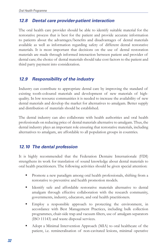# *12.8 Dental care provider-patient interaction*

The oral health care provider should be able to identify suitable material for the restorative process that is best for the patient and provide accurate information to patients about the advantages/benefits and disadvantages of dental materials available as well as information regarding safety of different dental restorative materials. It is most important that decisions on the use of dental restoration materials are made through informed interaction between patient and provider of dental care; the choice of dental materials should take cost factors to the patient and third party payment into consideration.

### *12.9 Responsibility of the industry*

Industry can contribute to appropriate dental care by improving the standard of existing tooth-coloured materials and development of new materials of highquality. In low resource communities it is needed to increase the availability of new dental materials and develop the market for alternatives to amalgam. Better supply and distribution of materials should be established.

The dental industry can also collaborate with health authorities and oral health professionals on reducing price of dental materials alternative to amalgam. Thus, the dental industry plays an important role ensuring that restorative materials, including alternatives to amalgam, are affordable to all population groups in countries.

#### *12.10 The dental profession*

It is highly recommended that the Federation Dentaire Internationale (FDI) strengthens its work for translation of sound knowledge about dental materials to oral health practitioners. The following activities should be given special attention:

- Promote a new paradigm among oral health professionals, shifting from a restorative to preventive and health promotion models.
- Identify safe and affordable restorative materials alternative to dental amalgam through effective collaboration with the research community, governments, industry, educators, and oral health practitioners.
- Employ a responsible approach to protecting the environment, in accordance with Best Management Practices, including bulk collection programmes, chair-side trap and vacuum filters, use of amalgam separators (ISO 11143) and waste disposal services.
- Adopt a Minimal Intervention Approach (MIA) to oral healthcare of the patient, i.e. remineralisation of non-cavitated lesions, minimal operative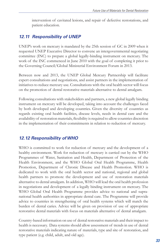intervention of cavitated lesions, and repair of defective restorations, and patient education.

# *12.11 Responsibility of UNEP*

UNEP's work on mercury is mandated by the 25th session of GC in 2009 when it requested UNEP Executive Director to convene an intergovernmental negotiating committee (INC) to prepare a global legally-binding instrument on mercury. The work of the INC commenced in June 2010 with the goal of completing it prior to the Governing Council/Global Ministerial Environment Forum in 2013.

Between now and 2013, the UNEP Global Mercury Partnership will facilitate expert consultations and negotiations, and assist partners in the implementation of initiatives to reduce mercury use. Consultations with the oral health sector will focus on the promotion of dental restorative materials alternative to dental amalgam.

Following consultations with stakeholders and partners, a new global legally binding instrument on mercury will be developed, taking into account the challenges faced by both developed and developing countries. Given the diversity of countries as regards existing oral health facilities, disease levels, needs in dental care and the availability of restoration materials, flexibility isrequired to allowcountries discretion in the implementation of their commitments in relation to reduction of mercury.

# *12.12 Responsibility of WHO*

WHO is committed to work for reduction of mercury and the development of a healthy environment. Work for reduction of mercury is carried out by the WHO Programmes of Water, Sanitation and Health, Department of Protection of the Health Environment, and the WHO Global Oral Health Programme, Health Promotion, Department of Chronic Disease and Health Promotion. WHO is dedicated to work with the oral health sector and national, regional and global health partners to promote the development and use of restoration materials alternative to dental amalgam. In addition, WHO will lead the oral health profession in negotiations and development of a legally binding instrument on mercury. The WHO Global Oral Health Programme provides advice to national and supranational health authorities in appropriate dental care. The Programme will provide advice to countries in strengthening of oral health systems which will match the burden of dental caries. Advice will be given on provision of use of appropriate restorative dental materials with focus on materials alternative of dental amalgam.

Country-based information on use of dental restorative materials and their impact to health is necessary. Data systems should allow assessment of trends in use of dental restorative materials indicating nature of materials, type and site of restoration, and type patient (e.g. child, adult, and old age).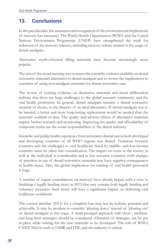# **13. Conclusions**

In the past decades, the awareness and recognition of the environmental implications of mercury has increased. The World Health Organization (WHO) and the United Nations Environment Programme (UNEP) have strengthened the work for reduction of the mercury releases, including mercury release related to the usage of dental amalgam.

Alternative tooth-coloured filling materials have become increasingly more popular.

The aim of the actual meetingwasto assessthe scientific evidence available on dental restorative materials alternative to dental amalgam and to review the implications to countries of using non-amalgam materials for dental restorative care.

The review of existing evidence on alternative materials and much deliberation indicate that there are huge challenges to the global research community and the oral health profession. In general, dental amalgam remains a dental restorative material of choice, in the absence of an ideal alternative. If dental amalgam was to be banned, a better and more long-lasting replacement would be needed than the materials available to date. The quality and adverse effects of alternative materials require further research and monitoring. Improving the quality and affordability of composite resins are the social responsibilities of the dental industry.

Scientific and public health experience from restorative dental care in both developed and developing countries of all WHO regions was shared. Variations between countries and the challenges to oral healthcare faced by middle- and low-income countries must be taken into consideration. The impact on costs to the society as well as the individual is considerable and in low resource countries swift changes of practices in use of dental restorative materials may have negative consequences to health status. Also, the global implication for training of oral health personnel is huge.

A number of expert consultations on mercury have already begun, with a view to finalizing a legally binding treaty in 2013 that may contain both legally binding and voluntary measures. Such treaty will have a significant impact on delivering oral healthcare worldwide.

The current timeline (2013) for a complete ban may not be realistic, practical and achievable. It may be prudent to consider 'phasing down' instead of 'phasing out' of dental amalgam at this stage. A multi-pronged approach with short-, mediumand long-term strategies should be considered. Elements of strategies can be put in place while waiting for the new materials to be developed. The role of WHO, UNEP, NGOs such as IADR and FDI, and the industry is critical.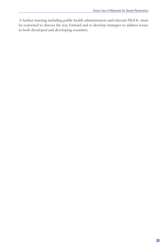A further meeting including public health administrators and relevant NGOs must be convened to discuss the way forward and to develop strategies to address issues in both developed and developing countries.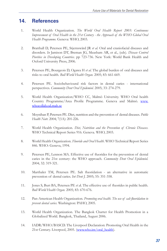# **14. References**

- 1. World Health Organization. *The World Oral Health Report 2003: Continuous Improvement of Oral Health in the 21st Century - the Approach of the WHO Global Oral Health Programme.* Geneva: WHO, 2003.
- 2. Bratthall D, Petersen PE, Stjernswärd JR *et al.* Oral and craniofacial diseases and disorders. *In* Jamison DT, Breman JG, Measham AR, et al., (eds). *Disease Control Piorities in Developing Countries*. pp 723-736. New York: World Bank Health and Oxford University Press, 2006.
- 3. Petersen PE, Bourgeois D, Ogawa H *et al.* The global burden of oral diseases and risks to oral health. *Bull World Health Organ.* 2005; 83: 661-669.
- 4. Petersen PE. Sociobehavioural risk factors in dental caries international perspectives. *Community Dent Oral Epidemiol.* 2005; 33: 274-279.
- 5. World Health Organization/WHO CC, Malmö University. WHO Oral health Country Programme/Area Profile Programme. Geneva and Malmö. www. whocollab.od.mah.se
- 6. Moynihan P, Petersen PE. Diet, nutrition and the prevention of dental diseases. *Public Health Nutr.* 2004; 7(1A): 201-226.
- 7. World Health Organization. *Diet, Nutrition and the Prevention of Chronic Diseases*. WHO Technical Report Series 916. Geneva. WHO, 2003.
- 8. World Health Organization. *Fluoride and Oral Health*. WHO Technical Report Series 846. WHO: Geneva, 1994.
- 9. Petersen PE, Lennon MA. Effective use of fluorides for the prevention of dental caries in the 21st century: the WHO approach. *Community Dent Oral Epidemiol.* 2004; 32: 319-321.
- 10. Marthaler TM, Petersen PE. Salt fluoridation an alternative in automatic prevention of dental caries. *Int Dent J.* 2005; 55: 351-358.
- 11. Jones S, Burt BA, Petersen PE *et a*l. The effective use of fluorides in public health. *Bull World Health Organ.* 2005; 83: 670-676.
- 12. Pan-American Health Organization. *Promoting oral health. The use of salt fluoridation to prevent dental caries.* Washington: PAHO, 2005.
- 13. World Health Organization. The Bangkok Charter for Health Promotion in a Globalized World. Bangkok, Thailand, August 2006.
- 14. IADR/WHO/BASCD. The Liverpool Declaration: Promoting Oral Health in the 21st Century. Liverpool, 2005. (www.who.int/oral\_health).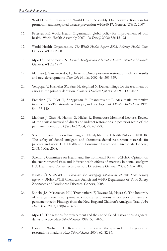- 15. World Health Organization. World Health Assembly. Oral health: action plan for promotion and integrated disease prevention WHA60.17. Geneva: WHO, 2007.
- 16. Petersen PE. World Health Organization global policy for improvement of oral health -World Health Assembly 2007. *Int Dent J*. 2008; 58:115-121
- 17. World Health Organization. *The World Health Report 2008. Primary Health Care*. Geneva: WHO, 2008.
- 18. Mjör IA, Pakhomov GN. *Dental Amalgam and Alternative Direct Restorative Materials.*  Geneva: WHO, 1997
- 19. Manhart J, Garcia-Godoy F, Hickel R. Direct posterior restorations: clinical results and new developments. *Dent Clin N Am*. 2002; 46: 303-339.
- 20. Yengopal V, Harneker SY, Patel N, Siegfried N. Dental fillings for the treatment of caries in the primary dentition. *Cochrane Database Syst Rev*. 2009: CD004483.
- 21. Frencken JE, Pilot T, Songpaisan Y, Phantumvanit P. Atraumatic restorative treatment (ART): rationale, technique, and development. *J Public Health Dent*. 1996; 56: 135-140.
- 22. Manhart J, Chen H, Hamm G, Hickel R. Buonocore Memorial Lecture. Review of the clinical survival of direct and indirect restorations in posterior teeth of the permanent dentition. *Oper Dent.* 2004; 29: 481-508.
- 23. Scientific Committee on Emerging and Newly Identified Health Risks- SCENIHR. The safety of dental amalgam and alternative dental restoration materials for patients and users EU: Health and Consumer Protection. Directorate General; 2008. 6 May 2008.
- 24. Scientific Committee on Health and Environmental Risks SCHER. Opinion on the environmental risks and indirect health effects of mercury in dental amalgam EU: Health and Consumer Protection. Directorate General; 2008. 6 May 2008.
- 25. IOMCC/UNEP/WHO. *Guidance for identifying populations at risk from mercury exposure.* UNEP DTIE Chemicals Branch and WHO Department of Food Safety, Zoonoses and Foodborne Diseases. Geneva, 2008.
- 26. Soncini JA, Maserejian NN, Trachtenberg F, Tavares M, Hayes C. The longevity of amalgam versus compomer/composite restorations in posterior primary and permanent teeth: Findings from the New England Children's Amalgam Trial. *J Am Dent Assoc.* 2007; 138(6):763-772.
- 27. Mjör IA. The reasons for replacement and the age of failed restorations in general dental practice. *Acta Odontol Scand*. 1997; 55: 58-63.
- 28. Forss H, Widström E. Reasons for restorative therapy and the longevity of restorations in adults. *Acta Odontol Scand*. 2004; 62: 82-86.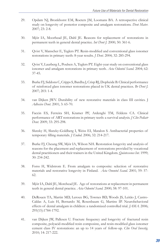- 29. Opdam NJ, Bronkhorst EM, Roeters JM, Loomans BA. A retrospective clinical study on longevity of posterior composite and amalgam restorations. *Dent Mater*. 2007; 23: 2-8.
- 30. Mjör IA, Moorhead JE, Dahl JE. Reasons for replacement of restorations in permanent teeth in general dental practice. *Int Dent J.* 2000; 50: 361-6.
- 31. Qvist V, Manscher E, Teglers PT. Resin-modified and conventional glass ionomer restorations in primary teeth: 8-year results. *J Dent.* 2004; 32: 285-294.
- 32. Qvist V, Laurberg L, Poulsen A, Teglers PT. Eight-year study on conventional glass ionomer and amalgam restorations in primary teeth. *Acta Odontol Scand*. 2004; 62: 37-45.
- 33. Burke FJ, Siddons C, Cripps S, Bardha J, Crisp RJ, Dopheide B. Clinical performance of reinforced glass ionomer restorations placed in UK dental practices. *Br Dent J.* 2007; 203: 1-4.
- 34. van Dijken JWV. Durability of new restorative materials in class III cavities. J *Adhesive Dent*. 2001; 3: 65-70.
- 35. Faccin ES, Ferreira SH, Kramer PF, Ardenghi TM, Feldens CA. Clinical performance of ART restorations in primary teeth: a survival analysis. *J Clin Pediatr Dent.* 2009; 33: 295-298.
- 36. Slutzky H, Slutzky-Goldberg I, Weiss EI, Matalon S. Antibacterial properties of temporary filling materials. *J Endod*. 2006; 32: 214-217.
- 37. Burke FJ, Cheung SW, Mjör IA, Wilson NH. Restoration longevity and analysis of reasons for the placement and replacement of restorations provided by vocational dental practitioners and their trainers in the United Kingdom. *Quintessence Int.* 1999; 30: 234-242.
- 38. Forss H, Widstrom E. From amalgam to composite: selection of restorative materials and restorative longevity in Finland. *Acta Onontol Scand*. 2001; 59: 57- 62.
- 39. Mjör IA, Dahl JE, Morehead JE. Age of restorations at replacement in permanent teeth in general dental practice. *Acta Odontol Scand.* 2000; 58: 97-101.
- 40. DeRouen TA, Martin MD, Leroux BG, Townes BD, Woods JS, Leitão J, Castro-Caldas A, Luis H, Bernardo M, Rosenbaum G, Martins IP. Neurobehavioral effects of dental amalgam in children: a randomized controlled trial. *JAMA*. 2006; 295(15):1784-1792.
- 41. van Dijken JW, Pallesen U. Fracture frequency and longevity of fractured resin composite, polyacid-modified resin composiste, and resin-modified glass ionomer cement class IV restorations: an up to 14 years of follow-up. *Clin Oral Investig.*  2010; 14: 217-222.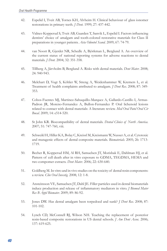- 42. Espelid I, Tveit AB, Tornes KH, Alvheim H. Clinical behaviour of glass ionomer restorations in primary teeth. *J Dent.* 1999; 27: 437-442.
- 43. Vidnes-Kopperud S, Tveit AB, Gaarden T, Sanvik L, Espelid I. Factors influencing dentists' choice of amalgam and tooth-colored restorative materials for Class II preparations in younger patients. *Acta Odontol Scand.* 2009; 67: 74-79.
- 44. van Noort R, Gjerdet NR, Schedle A, Björkman L, Berglund A. An overview of the current status of national reporting systems for adverse reactions to dental materials. *J Dent.* 2004; 32: 351-358.
- 45. Tillberg A, Järvholm B, Berglund A. Risks with dental materials. *Dent Mater*. 2008; 24: 940-943.
- 46. Melchart D, Vogt S, Köhler W, Streng A, Weidenhammer W, Kremers L, et al. Treatment of health complaints attributed to amalgam. *J Dent Res*. 2008; 87: 349- 353.
- 47. Cobos-Fuentes MJ, Martinez-Sahuquillo-Marquez A, Gallardo-Castillo I, Armas-Padron JR, Moreno-Fernandez A, Bullon-Fernandez P. Oral lichenoid lesions related to contact with dental materials: A literature review. *Med Oral Patol Oral Cir Bucal*. 2009; 14: e514-520.
- 48. St John KR. Biocompatibility of dental materials. *Dental Clinics of North America*. 2007; 51: 747-760, viii.
- 49. Schweikl H, Hiller KA, Bolay C, Kreissl M, Kreismann W, Nusser A, et al. Cytotoxic and mutagenic effects of dental composite materials. *Biomaterials.* 2005; 26: 1713- 1719.
- 50. Becher R, Kopperud HM, Al RH, Samuelsen JT, Morisbak E, Dahlman HJ, et al. Pattern of cell death after in vitro exposure to GDMA, TEGDMA, HEMA and two compomer extracts. *Dent Mater*. 2006; 22: 630-640.
- 51. Goldberg M. In vitro and in vivo studies on the toxicity of dental resin components: a review. *Clin Oral Investig*. 2008; 12: 1-8.
- 52. Ansteinsson VE, Samuelsen JT, Dahl JE. Filler particles used in dental biomaterials induce production and release of inflammatory mediators in vitro. *J Biomed Mater Res B Appl Biomater*. 2009; 89: 86-92.
- 53. Jones DW. Has dental amalgam been torpedoed and sunk? *J Dent Res.* 2008; 87: 101-102.
- 54. Lynch CD, McConnell RJ, Wilson NH. Teaching the replacement of posterior resin-based composite restorations in US dental schools. *J Am Dent Assoc.* 2006; 137: 619-625.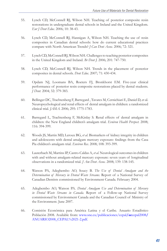- 55. Lynch CD, McConnell RJ, Wilson NH. Teaching of posterior composite resin restorations in undergraduate dental schools in Ireland and the United Kingdom. *Eur J Dent Educ.* 2006; 10: 38-43.
- 56. Lynch CD, McConnell RJ, Hannigan A, Wilson NH. Teaching the use of resin composites in Canadian dental schools: how do current educational practices compare with North American Trends? *J Can Dent Assoc.* 2006; 72: 321.
- 57. Lynch CD, McConnell RJ, Wilson NH. Challenges to teaching posterior composites in the United Kingdom and Ireland. *Br Dent J.* 2006; 201: 747-750.
- 58. Lynch CD, McConnell RJ, Wilson NH. Trends in the placement of posterior composites in dental schools. *Dent Educ.* 2007; 71: 430-434.
- 59. Opdam NJ, Loomans BA, Roeters FJ, Bronkhorst EM. Five-year clinical performance of posterior resin composite restorations placed by dental students. *J Dent.* 2004; 32: 379-383.
- 60. Bellinger DC, Trachtenberg F, Barregard , Tavares M, Cernichiari E, Daniel D, et al. Neuropsychological and renal effects of dental amalgam in children: a randomized clinical trial. *JAMA*. 2006; 295: 1775-1783.
- 61. Barregard L, Trachtenberg F, McKinlay S. Renal effects of dental amalgam in children: the New England children's amalgam trial. *Evniron Health Perspect.* 2008; 116: 394-399.
- 62. Woods JS, Martin MD, Leroux BG, *et al*. Biomarkers of kidney integrity in children and adolescents with dental amalgam mercury exposure: findings from the Casa Pia children's amalgam trial. *Environ Res.* 2008; 108: 393-399.
- 63. Lauterbach M, Martins IP, Castro-Caldas A, *et al.* Neurological outcomes in children with and without amalgam-related mercury exposure: seven years of longitudinal observations in a randomized trial. *J Am Dent Assoc.* 2008; 139: 138-145.
- 64. Watson PA, Adegbembo AO, Soucy B. *The Use of Dental Amalgam and the Determination of Mercury in Dental Waste Streams.* Report of a National Survey of Canadian Dentists commissioned by Environment Canada. February 2004.
- 65. Adegbembo AO, Watson PA. *Dental Amalgam Use and Determination of Mercury in Dental Waste Streams in Canada.* Report of a Follow-up National Survey commissioned by Environment Canada and the Canadian Council of Ministry of the Environment. June 2007.
- 66. Comisión Económica para América Latina y el Caribe. Anuario Estadístico Población 2008. Available from: www.one.cu/publicaciones/cepal**/ae**cepal2008**/** ANUARIO2008**\_**CEPAL%2021-2.pdf.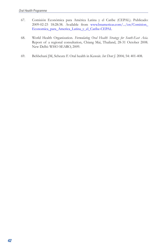- 67. Comisión Económica para América Latina y el Caribe (CEPAL). Publicado: 2009-02-23 18:28:38. Available from www.bnamericas.com/.../en/Comision\_ Economica\_para\_America\_Latina\_y\_el\_Caribe-CEPAL
- 68. World Health Organization. *Formulating Oral Health Strategy for South-East Asia.*  Report of a regional consultation, Chiang Mai, Thailand, 28-31 October 2008. New Delhi: WHO SEARO, 2009.
- 69. Behbehani JM, Scheutz F. Oral health in Kuwait. *Int Dent J.* 2004; 54: 401-408.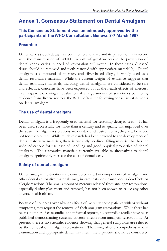# **Annex 1. Consensus Statement on Dental Amalgam**

#### **This Consensus Statement was unanimously approved by the participants of the WHO Consultation, Geneva, 3-7 March 1997**

#### **Preamble**

Dental caries (tooth decay) is a common oral disease and its prevention is in accord with the main mission of WHO. In spite of great success in the prevention of dental caries, caries in need of restoration still occur. In these cases, diseased tissue should be removed and teeth restored with appropriate material(s). Dental amalgam, a compound of mercury and silver-based alloys, is widely used as a dental restorative material. While the current weight of evidence suggests that dental restorative materials, including dental amalgams are considered to be safe and effective, concerns have been expressed about the health effects of mercury in amalgam. Following an evaluation of a large amount of sometimes conflicting evidence from diverse sources, the WHO offers the following consensus statements on dental amalgam:

#### **The use of dental amalgam**

Dental amalgam is a frequently used material for restoring decayed teeth. It has been used successfully for more than a century and its quality has improved over the years. Amalgam restorations are durable and cost-effective; they are, however, not tooth-coloured. While much research has been devoted to the development of dental restorative materials, there is currently no direct filling material that has the wide indications for use, ease of handling and good physical properties of dental amalgam. The restorative materials currently available as alternatives to dental amalgam significantly increase the cost of dental care.

#### **Safety of dental amalgam**

Dental amalgam restorations are considered safe, but components of amalgam and other dental restorative materials may, in rare instances, cause local side-effects or allergic reactions. The small amount of mercury released from amalgam restorations, especially during placement and removal, has not been shown to cause any other adverse health effects.

Because of concerns over adverse effects of mercury, some patients with or without symptoms, may request the removal of their amalgam restorations. While there has been a number of case studies and informal reports, no controlled studies have been published demonstrating systemic adverse effects from amalgam restorations. At present, there is no scientific evidence showing that general symptoms are relieved by the removal of amalgam restorations. Therefore, after a comprehensive oral examination and appropriate dental treatment, these patients should be considered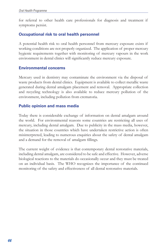for referral to other health care professionals for diagnosis and treatment if symptoms persist.

#### **Occupational risk to oral health personnel**

A potential health risk to oral health personnel from mercury exposure exists if working conditions are not properly organized. The application of proper mercury hygienic requirements together with monitoring of mercury vapours in the work environment in dental clinics will significantly reduce mercury exposure.

#### **Environmental concerns**

Mercury used in dentistry may contaminate the environment via the disposal of waste products from dental clinics. Equipment is available to collect metallic waste generated during dental amalgam placement and removal. Appropriate collection and recycling technology is also available to reduce mercury pollution of the environment, including pollution from crematoria.

#### **Public opinion and mass media**

Today there is considerable exchange of information on dental amalgam around the world. For environmental reasons some countries are restricting all uses of mercury, including dental amalgam. Due to publicity in the mass media, however, the situation in those countries which have undertaken restrictive action is often misinterpreted, leading to numerous enquiries about the safety of dental amalgam and a demand for the removal of amalgam fillings.

The current weight of evidence is that contemporary dental restorative materials, including dental amalgam, are considered to be safe and effective. However, adverse biological reactions to the materials do occasionally occur and they must be treated on an individual basis. The WHO recognizes the importance of the continued monitoring of the safety and effectiveness of all dental restorative materials.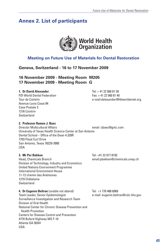# **Annex 2. List of participants**



# **Meeting on Future Use of Materials for Dental Restoration**

# **Geneva, Switzerland - 16 to 17 November 2009**

#### **16 November 2009 - Meeting Room M205 17 November 2009 - Meeting Room G**

#### **1. Dr David Alexander** Tel: + 41 22 560 81 50

FDI World Dental Federation Fax: +41 22 560 81 40 Avenue Louis Casai 84 Case Postale 3 1216 Cointrin **Switzerland** 

Tour de Cointrin e-mail:dalexander@fdiworldental.org

#### **2. Professor Ramon J. Baez**

Director Multicultural Affairs email: ribaez@gvtc.com University of Texas Health Science Center at San Antonio Dental School – Office of the Dean 4.320R 7703 Floyd Curl Drive San Antonio, Texas 78229-3900 USA

Head, Chemicals Branch email:pbakken@chemicals.unep.ch Division of Technology, Industry and Economics United Nations Environment Programme International Environment House 11-13 chemin des Anémones 1219 Châtelaine Switzerland

**3. Mr Per Bakken** Tel: +41 22 917 8192

**4. Dr Eugenio Beltran** (unable not attend) Tel: +1 770 488 6069 Team Leader, Senior Epidemiologist e-mail: eugenio.beltran@cdc.hhs.gov Surveillance Investigation and Research Team Division of Oral Health National Center for Chronic Disease Prevention and Health Promotion Centers for Disease Control and Prevention 4770 Buford Highway MS F-10 Atlanta GA 30341 USA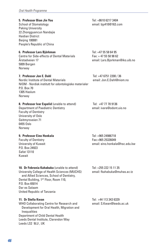#### **5. Professor Bian Jin You** Tel: +8610 6217 3404

Peking University 22 Zhongguancun Nandajie Haidian District Beijing 100081 People's Republic of China

Centre for Side-effects of Dental Materials<br>Årstadveien 17 5009 Bergen Norway

Nordic Institute of Dental Materials NIOM - Nordisk institutt for odontologiske materialer P.O. Box 70 1305 Haslum Norway

#### **8. Professor Ivar Espelid** (unable to attend) Tel: +47 77 78 9136

Department of Paediatric Dentistry email: ivare@odont.uio.no Faculty of Dentistry University of Oslo Geitmyrsveien 71 0455 Oslo Norway

#### **9. Professor Eino Honkala** Tel: +965 24986718

P.O. Box 24923 Safat 13110 Kuwait

#### **10. Dr Febronia Kahabuka** (unable to attend) Tel: +255 222 15 11 35

University College of Health Sciences (MUCHS) email: fkahabuka@muhas.ac.tz and Allied Sciences, School of Dentistry, Dental Building, 1<sup>ST</sup> Floor, Room 110, P.O. Box 65014 Dar es Salaam United Republic of Tanzania

#### **11. Dr Stella Kwan** Tel: +44 113 343 6329

WHO Collaborating Centre for Research and email: S.Kwan@leeds.ac.uk Development for Oral Health, Migration and Inequalities Department of Child Dental Health Leeds Dental Institute, Clarendon Way Leeds LS2 9LU , UK

School of Stomatology email: bjy410@163.com

**6. Professor Lars Björkman**<br>Centre for Side-effects of Dental Materials **Tex: +47 55 58 98 62** email: Lars.Bjorkman@iko.uib.no

**7. Professor Jon E. Dahl Tel: +47 6751 2200 / 36<br>Nordic Institute of Dental Materials <b>Telescopy School** email: Jon.E.Dahl@niom.no

Faculty of Dentistry Fax:+965 25326049 University of Kuwait email: eino.honkala@hsc.edu.kw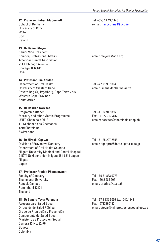#### **12. Professor Robert McConnell** Tel: +353 21 4901140

School of Dentistry e-mail: r.mcconnell@ucc.ie University of Cork **Wilton** Cork Ireland

#### **13. Dr Daniel Meyer**

Senior Vice President<br>Science/Professional Affairs American Dental Association 211 E Chicago Avenue Chicago, IL 60611 USA

#### **14. Professor Sue Naidoo**

Department of Oral Health Tel: +27 21 937 3148 University of Western Cape email: suenaidoo@uwc.ac.za Private Bag X1, Tygerberg, Cape Town 7705 Western Cape Province South Africa

**15. Dr Desiree Narvaez** Programme Officer Tel: +41 22 917 8865 Mercury and other Metals Programme UNEP Chemicals DTIE email:dnarvaez@chemicals.unep.ch 11-13 chemin des Anémones 1219 Chatelaine Switzerland

#### **16. Dr Hiroshi Ogawa** Tel: +81 25 227 2858

Division of Preventive Dentistry email: ogahpre@dent.niigata-u.ac.jp Department of Oral Health Science Niigata University Medical and Dental Hospital 2-5274 Gakkocho-dori Niigata 951-8514 Japan Niigata Japan

# **17. Professor Prathip Phantumvanit**

Faculty of Dentistry Tel: +66 81 833 0273 Thammasat University Patumthani 12121 Thailand

Asesora para Salud Bucal Fax: +5713360182<br>Dirección de Salud Pública Fax: Fax: +5713360182 Grupo de Promoción y Prevención Componente de Salud Bucal Ministerio de Protección Social Carrera 13 No. 32-76 Bogota Colombia

email: meverd@ada.org

Rangsit Campus **Example 20** and the control of the email: prathip@tu.ac.th

**18. Dr Sandra Tovar Valencia** Tel: +57 1 336 5066 Ext 1240/1242 email: stovar@minproteccionsocial.gov.co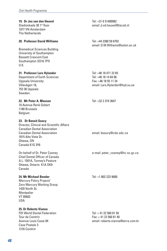1077 VN Amsterdam The Netherlands

#### **20. Professor David Williams** Tel: +44 2380 59 6702

Biomedical Sciences Building University of Southampton Bassett Crescent East Southampton SO16 7PX U.K.

#### **21. Professor Lars Hylander** Tel: +46 18 471 22 65

Department of Earth Sciences Tel: +46 18 14 84 06 Uppsala University **Fax: +46 18 55 11 24** 752 36 Uppsala Sweden.

#### **22. Mr Peter A. Maxson Tel: +32 2 374 3647**

10 Avenue René Gobert 1180 Brussels **Belgium** 

#### **23. Dr Benoit Soucy**

Director, Clinical and Scientific Affairs Canadian Dental Association 1815 Alta Vista Dr. Ottawa, ON Canada K1G 3Y6

Chief Dental Officer of Canada A.L. 1501A, Tunney's Pasture Ottawa, Ontario K1A OK9 Canada

#### **24. Mr Michael Bender** Tel: +1 802 223 9000

Mercury Policy Project/ Zero Mercury Working Group 1420 North St. Montpelier VT 05602 USA

#### **25. Dr Roberto Vianna**

FDI World Dental Federation Tel: + 41 22 560 81 50 Tour de Cointrin Fax: + 41 22 560 81 40 Case Postale 3 1216 Cointrin

**19. Dr Jos van den Heuvel deutsche Feature 11 auction 11 Februarie 11 6 51400982<br>Stadionkade 30 1<sup>st</sup> floor** email: il.vd.heuvel@tiscali.nl

email: D.M.Williams@soton.ac.uk

Villavägen 16, email: Lars.Hylander@hyd.uu.se

email: bsoucy@cda-adc.ca

On behalf of Dr. Peter Cooney e-mail: peter\_cooney@hc-sc.gc.ca

Avenue Louis Casai 84 email: roberto.vianna@terra.com.br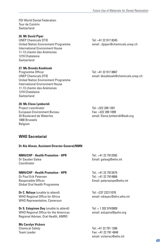FDI World Dental Federation Tour de Cointrin Switzerland

#### **26. Mr David Piper**

UNEP Chemicals DTIF Tel: +41 22 917 8345 United Nation Environment Programme email : dpiper@chemicals.unep.ch International Environment House 11-13 chemin des Anémones 1219 Chatelaine **Switzerland** 

#### **27. Ms Brenda Koekkoek**

Programme Officer Tel: +41 22 917 8867 United Nation Environment Programme International Environment House 11-13 chemin des Anémones 1219 Chatelaine Switzerland

#### **28. Ms Elena Lymberidi**

Project coordinator Tel: +322 289 1301 European Environment Bureau<br>34 Boulevard de Waterloo 1000 Brussels Belgium

email: bkoekkoek@chemicals.unep.ch

email: Elena.lymberidi@eeb.org

#### **WHO Secretariat**

#### **Dr Ala Alwan, Assistant Director-General/NMN**

#### **NMH/CHP - Health Promotion - HPR** Tel.: +41 22 7912582

Coordinator

#### **NMH/CHP - Health Promotion - HPR** Tel.: +41 22 7913475

Dr Poul Erik Petersen Tel.: +41 22 7914866 Responsible Officer **Email:** petersenpe@who.int Global Oral Health Programme

**Dr C. Ndiaye** (unable to attend) Tel: +237 22211078 WHO Regional Office for Africa email: ndiavec@afro.who.int WHO Representative, Cameroun

**Dr S. Estupinan Day** (unable to attend) Tel: + 1 202 9743809 WHO Regional Office for the Americas email: estupins@paho.org Regional Adviser, Oral Health, AMRO

#### **Ms Carolyn Vickers**

Dr Gauden Galea **Email:** galeag@who.int

Chemical Safety Tel: +41 22 791 1286 Team Leader Fax: +41 22 791 4848 email: vickersc@who.int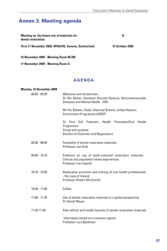# **Annex 3. Meeting agenda**

| Meeting on the future use of materials for<br>dental restoration | В                      |
|------------------------------------------------------------------|------------------------|
| 16 to 17 November 2009, WHO/HQ, Geneva, Switzerland              | <b>15 October 2009</b> |

**16 November 2009 - Meeting Room M.205**

**17 November 2009 - Meeting Room G** 

#### **AGENDA**

| <b>Monday, 16 November 2009</b> |                                                                                                                                        |
|---------------------------------|----------------------------------------------------------------------------------------------------------------------------------------|
| $09:00 - 09:30$                 | Welcome and Introduction.<br>Dr Ala Alwan, Assistant Director-General, Noncommunicable<br>Diseases and Mental Health (OR)              |
|                                 | Mr Per Bakken, Head, Chemical Branch, United Nations<br>Environment Programme (UNEP)                                                   |
|                                 | Dr Poul Erik Petersen, Health Promotion/Oral Health<br>Programme<br>Scope and purpose<br><b>Election of Chairman and Rapporteurs</b>   |
| $09:30 - 09:50$                 | Feasibility of dental restorative materials<br>Professor Jon Dahl                                                                      |
| $09:50 - 10:10$                 | Evidence on use of tooth-coloured restorative materials -<br>Clinical and population based experiences<br>Professor Ivar Espelid       |
| $10:10 - 10:30$                 | Restorative practices and training of oral health professionals<br>- the case of Ireland<br><b>Professor Robert McConnell</b>          |
| $10:30 - 11:00$                 | Coffee                                                                                                                                 |
| $11:00 - 11:20$                 | Use of dental restorative materials in a global perspective<br>Dr Daniel Meyer                                                         |
| 11:20-11:40                     | Side-effects and health hazards of dental restorative materials<br>information based on a national registry<br>Professor Lars Björkman |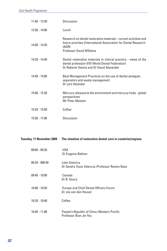| $11:40 - 12:30$ | Discussion                                                                                                                                                                        |
|-----------------|-----------------------------------------------------------------------------------------------------------------------------------------------------------------------------------|
| $12:30 - 14:00$ | Lunch                                                                                                                                                                             |
| $14:00 - 14:20$ | Research on dental restorative materials - current activities and<br>future priorities (International Association for Dental Research<br>IADR)<br><b>Professor David Williams</b> |
| $14:20 - 14:40$ | Dental restorative materials in clinical practice - views of the<br>dental profession (FDI World Dental Federation)<br>Dr Roberto Vienna and Dr David Alexander                   |
| $14:40 - 15:00$ | Best Management Practices on the use of dental amalgam<br>separators and waste management<br>Dr Lars Hylander                                                                     |
| $15:00 - 15.20$ | Mercury releases to the environment and mercury trade - global<br>perspectives<br>Mr Peter Maxson                                                                                 |
| $15:20 - 15:50$ | Coffee                                                                                                                                                                            |
| $15:50 - 17:00$ | Discussion                                                                                                                                                                        |

|                  | Tuesday, 17 November 2009 The situation of restorative dental care in countries/regions |
|------------------|-----------------------------------------------------------------------------------------|
| $09:00 - 09:20$  | USA<br>Dr Eugenio Beltran                                                               |
| $09:20 - 090:40$ | Latin America<br>Dr Sandra Tovar Valencia / Professor Ramon Baez                        |
| $09:40 - 10:00$  | Canada<br>Dr B. Soucy                                                                   |
| $10:00 - 10:20$  | <b>Europe and Chief Dental Officers Forum</b><br>Dr Jos van den Heuvel                  |
| $10:20 - 10:40$  | Coffee                                                                                  |
| $10:40 - 11:00$  | People's Republic of China / Western Pacific<br>Professor Bian Jin You                  |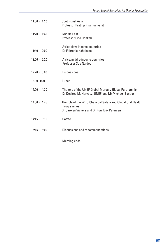| $11:00 - 11:20$ | South-East Asia<br>Professor Prathip Phantumvanit                                                                        |
|-----------------|--------------------------------------------------------------------------------------------------------------------------|
| $11:20 - 11:40$ | <b>Middle East</b><br>Professor Eino Honkala                                                                             |
| $11:40 - 12:00$ | Africa /low-income countries<br>Dr Febronia Kahabuka                                                                     |
| $12:00 - 12:20$ | Africa/middle-income countries<br>Professor Sue Naidoo                                                                   |
| $12:20 - 13.00$ | Discussions                                                                                                              |
| 13.00-14:00     | Lunch                                                                                                                    |
| $14:00 - 14:30$ | The role of the UNEP Global Mercury Global Partnership<br>Dr Desiree M. Narvaez, UNEP and Mr Michael Bender              |
| $14:30 - 14:45$ | The role of the WHO Chemical Safety and Global Oral Health<br>Programmes<br>Dr Carolyn Vickers and Dr Poul Erik Petersen |
| $14:45 - 15:15$ | Coffee                                                                                                                   |
| $15:15 - 16:00$ | Discussions and recommendations                                                                                          |
|                 | Meeting ends                                                                                                             |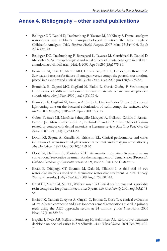# **Annex 4. Bibliography – other useful publications**

- Bellinger DC, Daniel D, Trachtenberg F, Tavares M, McKinlay S. Dental amalgam restorations and children's neuropsychological function: the New England Children's Amalgam Trial. *Environ Health Perspect*. 2007 Mar;115(3):440-6. Epub 2006 Oct 30.
- Bellinger DC, Trachtenberg F, Barregard L, Tavares M, Cernichiari E, Daniel D, McKinlay S. Neuropsychological and renal effects of dental amalgam in children: a randomized clinical trial. *JAMA*. 2006 Apr 19;295(15):1775-83.
- Bernardo M, Luis H, Martin MD, Leroux BG, Rue T, Leitão J, DeRouen TA. Survival and reasons for failure of amalgam versus composite posterior restorations placed in a randomized clinical trial. *J Am Dent Assoc*. 2007 Jun;138(6):775-83.
- Brambilla E, Cagetti MG, Gagliani M, Fadini L, García-Godoy F, Strohmenger L. Influence of different adhesive restorative materials on mutans streptococci colonization. *Am J Dent*. 2005 Jun;18(3):173-6.
- Brambilla E, Gagliani M, Ionescu A, Fadini L, García-Godoy F. The influence of light-curing time on the bacterial colonization of resin composite surfaces. *Dent Mater*. 2009 Sep;25(9):1067-72. Epub 2009 Apr 17.
- Cobos-Fuentes MJ, Martínez-Sahuquillo-Márquez A, Gallardo-Castillo I, Armas-Padrón JR, Moreno-Fernández A, Bullón-Fernández P. Oral lichenoid lesions related to contact with dental materials: a literature review. *Med Oral Patol Oral Cir Bucal*. 2009 Oct 1;14(10):e514-20.
- Donly KJ, Segura A, Kanellis M, Erickson RL. Clinical performance and caries inhibition of resin-modified glass ionomer cement and amalgam restorations. *J Am Dent Assoc*. 1999 Oct;130(10):1459-66.
- Dorri M, Sheiham A, Marinho VCC. Atraumatic restorative treatment versus conventional restorative treatment for the management of dental caries (Protocol). *Cochrane Database of Systematic Reviews* 2009, Issue 4. Art. No.: CD008072
- Ercan E, Dülgergil CT, Soyman M, Dalli M, Yildirim I. A field-trial of two restorative materials used with atraumatic restorative treatment in rural Turkey: 24-month results. J *Appl Oral Sci*. 2009 Aug;17(4):307-14.
- Ernst CP, Martin M, Stuff S, Willershausen B. Clinical performance of a packable resin composite for posterior teeth after 3 years. *Clin Oral Investig*. 2001 Sep;5(3):148- 55.
- Ersin NK, Candan U, Aykut A, Onça□ O, Eronat C, Kose T. A clinical evaluation of resin-based composite and glass ionomer cement restorations placed in primary teeth using the ART approach: results at 24 months. *J Am Dent Assoc*. 2006 Nov;137(11):1529-36.
- Espelid I, Tveit AB, Mejàre I, Sundberg H, Hallonsten AL. Restorative treatment decisions on occlusal caries in Scandinavia. *Acta Odontol Scand*. 2001 Feb;59(1):21- 7.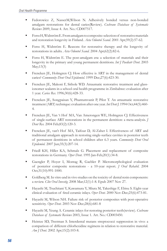- Fedorowicz Z, NasserM,Wilson N. Adhesively bonded versus non-bonded amalgam restorations for dental caries(Review). *Cochrane Database of Systematic Reviews* 2009, Issue 4. Art. No.: CD007517.
- Forss H, Widström E. From amalgam to composite: selection of restorative materials and restoration longevity in Finland. *Acta Odontol Scand*. 2001 Apr;59(2):57-62.
- Forss H, Widström E. Reasons for restorative therapy and the longevity of restorations in adults. *Acta Odontol Scand*. 2004 Apr;62(2):82-6.
- Forss H, Widström E. The post-amalgam era: a selection of materials and their longevity in the primary and young permanent dentitions. *Int J Paediatr Dent*. 2003 May;13(3)
- Frencken JE, Holmgren CJ. How effective is ART in the management of dental caries? *Community Dent Oral Epidemiol*. 1999 Dec;27(6):423-30.
- Frencken JE, Makoni F, Sithole WD. Atraumatic restorative treatment and glassionomer sealants in a school oral health programme in Zimbabwe: evaluation after 1 year. *Caries Res*. 1996;30(6):428-33.
- Frencken JE, Songpaisan Y, Phantumvanit P, Pilot T. An atraumatic restorative treatment (ART) technique: evaluation after one year. *Int Dent J.* 1994 Oct;44(5):460- 4.
- Frencken JE, Van 't Hof MA, Van Amerongen WE, Holmgren CJ. Effectiveness of single-surface ART restorations in the permanent dentition: a meta-analysis. *J Dent Res.* 2004 Feb;83(2):120-3.
- Frencken JE, van't Hof MA, Taifour D, Al-Zaher I. Effectiveness of ART and traditional amalgam approach in restoring single-surface cavities in posterior teeth of permanent dentitions in school children after 6.3 years. *Community Dent Oral Epidemiol.* 2007 Jun;35(3):207-14.
- Friedl KH, Hiller KA, Schmalz G. Placement and replacement of composite restorations in Germany. *Oper Dent*. 1995 Jan-Feb;20(1):34-8.
- Gaengler P, Hoyer I, Montag R, Gaebler P. Micromorphological evaluation of posterior composite restorations - a 10-year report. *J Oral Rehabil*. 2004 Oct;31(10):991-1000.
- Goldberg M. In vitro and in vivo studies on the toxicity of dental resin components: a review. *Clin Oral Investig*. 2008 Mar;12(1):1-8. Epub 2007 Nov 27.
- Hayashi M, Tsuchitani Y, Kawamura Y, Miura M, Takeshige F, Ebisu S. Eight-year clinical evaluation of fired ceramic inlays. *Oper Dent*. 2000 Nov-Dec;25(6):473-81.
- Hayashi M, Wilson NH. Failure risk of posterior composites with post-operative sensitivity. *Oper Dent*. 2003 Nov-Dec;28(6):681-8
- Hayashi M, Yeung A. Ceramic inlays for restoring posterior teeth(review). *Cochrane Database of Systematic Reviews* 2003, Issue 1. Art. No.: CD003450.
- Heintze SD, Twetman S. Interdental mutans streptococci suppression in vivo: a comparison of different chlorhexidine regimens in relation to restorative material. *Am J Dent.* 2002 Apr;15(2):103-8.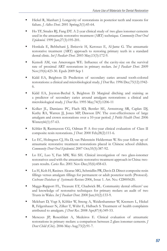- Hickel R, Manhart J. Longevity of restorations in posterior teeth and reasons for failure. *J Adhes Dent*. 2001 Spring;3(1):45-64.
- Ho TF, Smales RJ, Fang DT. A 2-year clinical study of two glass ionomer cements used in the atraumatic restorative treatment (ART) technique. *Community Dent Oral Epidemiol.* 1999 Jun;27(3):195-201.
- Honkala E, Behbehani J, Ibricevic H, Kerosuo E, Al-Jame G. The atraumatic restorative treatment (ART) approach to restoring primary teeth in a standard dental clinic. *Int J Paediatr Dent.* 2003 May;13(3):172-9.
- Kemoli AM, van Amerongen WE. Influence of the cavity-size on the survival rate of proximal ART restorations in primary molars. *Int J Paediatr Dent*. 2009 Nov;19(6):423-30. Epub 2009 Sep 1
- Kidd EA, Beighton D. Prediction of secondary caries around tooth-colored restorations: a clinical and microbiological study. *J Dent Res*. 1996 Dec;75(12):1942- 6.
- Kidd EA, Joyston-Bechal S, Beighton D. Marginal ditching and staining as a predictor of secondary caries around amalgam restorations: a clinical and microbiological study. *J Dent Res.* 1995 May;74(5):1206-11
- Kolker JL, Damiano PC, Flach SD, Bentler SE, Armstrong SR, Caplan DJ, Kuthy RA, Warren JJ, Jones MP, Dawson DV. The cost-effectiveness of large amalgam and crown restorations over a 10-year period. *J Public Health Dent*. 2006 Winter;66(1):57-63.
- Köhler B, Rasmusson CG, Odman P. A five-year clinical evaluation of Class II composite resin restorations. *J Dent*. 2000 Feb;28(2):111-6.
- Lo EC, Holmgren CJ, Hu D, van Palenstein Helderman W. Six-year follow up of atraumatic restorative treatment restorations placed in Chinese school children. *Community Dent Oral Epidemiol*. 2007 Oct;35(5):387-92.
- Lo EC, Luo Y, Fan MW, Wei SH. Clinical investigation of two glass-ionomer restoratives used with the atraumatic restorative treatment approach in China: twoyears results. *Caries Res*. 2001 Nov-Dec;35(6):458-63.
- Lu H, Koh H, Rasines Alcaraz MG, Schmidlin PR, Davis D. Direct composite resin fillings versus amalgam fillings for permanent or adult posterior teeth (Protocol). *Cochrane Database of Systematic Reviews* 2006, Issue 1. Art. No.: CD005620.
- Maggs-Rapport FL, Treasure ET, Chadwick BL. Community dental officers' use and knowledge of restorative techniques for primary molars: an audit of two Trusts in Wales. *Int J Paediatr Dent*. 2000 Jun;10(2):133-9.
- Melchart D, Vogt S, Köhler W, Streng A, Weidenhammer W, Kremers L, Hickel R, Felgenhauer N, Zilker T, Wühr E, Halbach S. Treatment of health complaints attributed to amalgam. *J Dent Res*. 2008 Apr;87(4):349-53.
- Menezes JP, Rosenblatt A, Medeiros E. Clinical evaluation of atraumatic restorations in primary molars: a comparison between 2 glass ionomer cements. *J Dent Child (Chic*). 2006 May-Aug;73(2):91-7.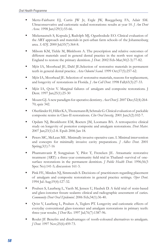- Mertz-Fairhurst EJ, Curtis JW Jr, Ergle JW, Rueggeberg FA, Adair SM. Ultraconservative and cariostatic sealed restorations: results at year 10. *J Am Dent Assoc.* 1998 Jan;129(1):55-66.
- Mickenautsch S, Kopsala J, Rudolph MJ, Ogunbodede EO. Clinical evaluation of the ART approach and materials in peri-urban farm schools of the Johannesburg area. *SADJ*. 2000 Jul;55(7):364-8.
- Milsom KM, Tickle M, Blinkhorn A. The prescription and relative outcomes of different materials used in general dental practice in the north west region of England to restore the primary dentition. *J Dent*. 2002 Feb-Mar;30(2-3):77-82.
- Mjör IA, Moorhead JE, Dahl JE.Selection of restorative materials in permanent teeth in general dental practice. *Acta Odontol Scand*. 1999 Oct;57(5):257-62.
- Mjör IA, Moorhead JE. Selection of restorative materials, reasons for replacement, and longevity of restorations in Florida. *J Am Coll Dent*. 1998 Fall;65(3):27-33.
- Mjör IA, Qvist V. Marginal failures of amalgam and composite restorations. J Dent. 1997 Jan;25(1):25-30
- Mount GJ. A new paradigm for operative dentistry. *Aust Dent J*. 2007 Dec;52(4):264- 70; quiz 342.
- Oberländer H, Hiller KA, Thonemann B, Schmalz G. Clinical evaluation of packable composite resins in Class-II restorations. *Clin Oral Investig*. 2001 Jun;5(2):102-7.
- Opdam NJ, Bronkhorst EM, Roeters JM, Loomans BA. A retrospective clinical study on longevity of posterior composite and amalgam restorations. *Dent Mater*. 2007 Jan;23(1):2-8. Epub 2006 Jan 18.
- Peters MC, McLean ME. Minimally invasive operative care. I. Minimal intervention and concepts for minimally invasive cavity preparations. *J Adhes Dent*. 2001 Spring;3(1):7-16
- Phantumvanit P, Songpaisan Y, Pilot T, Frencken JE. Atraumatic restorative treatment (ART): a three-year community field trial in Thailand--survival of onesurface restorations in the permanent dentition. *J Public Health Dent*. 1996;56(3 Spec No):141-5; discussion 161-3.
- Pink FE, Minden NJ, Simmonds S. Decisions of practitioners regarding placement of amalgam and composite restorations in general practice settings. *Oper Dent*. 1994 Jul-Aug;19(4):127-32.
- Poulsen S, Laurberg L, Vaeth M, Jensen U, Haubek D. A field trial of resin-based and glass-ionomer fissure sealants: clinical and radiographic assessment of caries. *Community Dent Oral Epidemiol*. 2006 Feb;34(1):36-40.
- Qvist V, Laurberg L, Poulsen A, Teglers PT. Longevity and cariostatic effects of everyday conventional glass-ionomer and amalgam restorations in primary teeth: three-year results. *J Dent Res*. 1997 Jul;76(7):1387-96.
- Roulet JF. Benefits and disadvantages of tooth-coloured alternatives to amalgam. *J Dent.* 1997 Nov;25(6):459-73.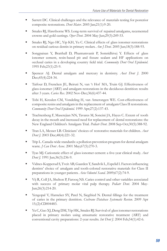- Sarrett DC. Clinical challenges and the relevance of materials testing for posterior composite restorations. *Dent Mater*. 2005 Jan;21(1):9-20.
- Smales RJ, Hawthorne WS. Long-term survival of repaired amalgams, recemented crowns and gold castings. *Oper Dent*. 2004 May-Jun;29(3):249-53.
- $\blacksquare$  Smales RJ, Ngo HC, Yip KH, Yu C. Clinical effects of glass ionomer restorations on residual carious dentin in primary molars. *Am J Dent*. 2005 Jun;18(3):188-93.
- Songpaisan Y, Bratthall D, Phantumvanit P, Somridhivej Y. Effects of glass ionomer cement, resin-based pit and fissure sealant and HF applications on occlusal caries in a developing country field trial. *Community Dent Oral Epidemiol*. 1995 Feb;23(1):25-9.
- Spencer AJ. Dental amalgam and mercury in dentistry. *Aust Dent J*. 2000 Dec;45(4):224-34.
- Taifour D, Frencken JE, Beiruti N, van 't Hof MA, Truin GJ. Effectiveness of glass-ionomer (ART) and amalgam restorations in the deciduous dentition: results after 3 years. *Caries Res*. 2002 Nov-Dec;36(6):437-44.
- Tobi H, Kreulen CM, Vondeling H, van Amerongen WE. Cost-effectiveness of composite resins and amalgam in the replacement of amalgam Class II restorations. *Community Dent Oral Epidemiol.* 1999 Apr;27(2):137-43.
- Trachtenberg F, Maserejian NN, Tavares M, Soncini JA, Hayes C. Extent of tooth decay in the mouth and increased need for replacement of dental restorations: the New England Children's Amalgam Trial. *Pediatr Dent*. 2008 Sep-Oct;30(5):388-92.
- Tran LA, Messer LB. Clinicians' choices of restorative materials for children. *Aust Dent J.* 2003 Dec;48(4):221-32.
- Trip L. Canada-wide standards: a pollution prevention program for dental amalgam waste. *J Can Dent Assoc*. 2001 May;67(5):270-3.
- Tyas MJ. Cariostatic effect of glass ionomer cement: a five-year clinical study. *Aust Dent J.* 1991 Jun;36(3):236-9.
- Vidnes-Kopperud S, TveitAB, Gaarden T, Sandvik L,Espelid I. Factorsinfluencing dentists' choice of amalgam and tooth-colored restorative materials for Class II preparations in younger patients. *Acta Odontol Scand*. 2009;67(2):74-9.
- Vij R, Coll JA, Shelton P, Farooq NS. Caries control and other variables associated with success of primary molar vital pulp therapy. *Pediatr Dent*. 2004 May-Jun;26(3):214-20.
- Yengopal V, Harneker SY, Patel N, Siegfried N. Dental fillings for the treatment of caries in the primary dentition. *Cochrane Database Systematic Review*. 2009 Apr 15;(2):CD004483.
- Yu C, Gao XJ, Deng DM, Yip HK, Smales RJ. Survival of glass ionomer restorations placed in primary molars using atraumatic restorative treatment (ART) and conventional cavity preparations: 2-year results. *Int Dent J*. 2004 Feb;54(1):42-6.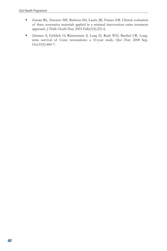- Zanata RL, Navarro MF, Barbosa SH, Lauris JR, Franco EB. Clinical evaluation of three restorative materials applied in a minimal intervention caries treatment approach. *J Public Health Dent.* 2003 Fall;63(4):221-6.
- Zimmer S, Göhlich O, Rüttermann S, Lang H, Raab WH, Barthel CR. Longterm survival of Cerec restorations: a 10-year study. *Oper Dent*. 2008 Sep-Oct;33(5):484-7.